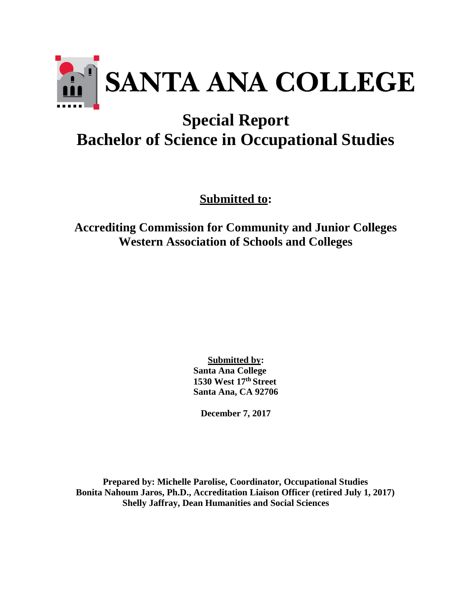

# **Special Report Bachelor of Science in Occupational Studies**

**Submitted to:**

**Accrediting Commission for Community and Junior Colleges Western Association of Schools and Colleges**

> **Submitted by: Santa Ana College 1530 West 17th Street Santa Ana, CA 92706**

**December 7, 2017**

**Prepared by: Michelle Parolise, Coordinator, Occupational Studies Bonita Nahoum Jaros, Ph.D., Accreditation Liaison Officer (retired July 1, 2017) Shelly Jaffray, Dean Humanities and Social Sciences**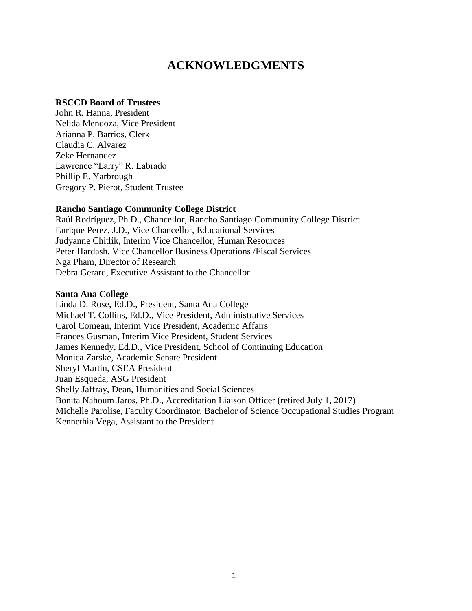## **ACKNOWLEDGMENTS**

#### **RSCCD Board of Trustees**

John R. Hanna, President Nelida Mendoza, Vice President Arianna P. Barrios, Clerk Claudia C. Alvarez Zeke Hernandez Lawrence "Larry" R. Labrado Phillip E. Yarbrough Gregory P. Pierot, Student Trustee

#### **Rancho Santiago Community College District**

Raúl Rodríguez, Ph.D., Chancellor, Rancho Santiago Community College District Enrique Perez, J.D., Vice Chancellor, Educational Services Judyanne Chitlik, Interim Vice Chancellor, Human Resources Peter Hardash, Vice Chancellor Business Operations /Fiscal Services Nga Pham, Director of Research Debra Gerard, Executive Assistant to the Chancellor

#### **Santa Ana College**

Linda D. Rose, Ed.D., President, Santa Ana College Michael T. Collins, Ed.D., Vice President, Administrative Services Carol Comeau, Interim Vice President, Academic Affairs Frances Gusman, Interim Vice President, Student Services James Kennedy, Ed.D., Vice President, School of Continuing Education Monica Zarske, Academic Senate President Sheryl Martin, CSEA President Juan Esqueda, ASG President Shelly Jaffray, Dean, Humanities and Social Sciences Bonita Nahoum Jaros, Ph.D., Accreditation Liaison Officer (retired July 1, 2017) Michelle Parolise, Faculty Coordinator, Bachelor of Science Occupational Studies Program Kennethia Vega, Assistant to the President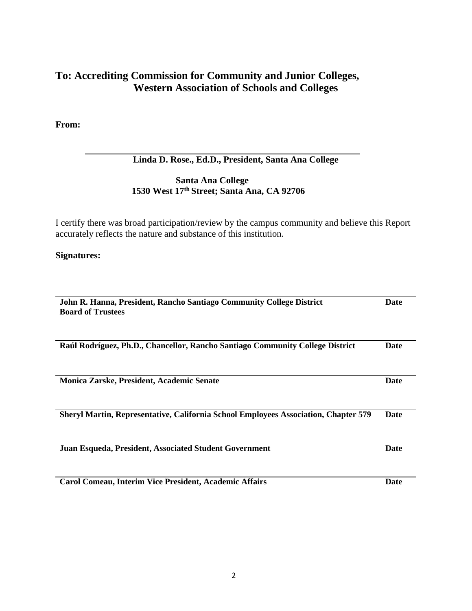### **To: Accrediting Commission for Community and Junior Colleges, Western Association of Schools and Colleges**

**From:**

#### **Linda D. Rose., Ed.D., President, Santa Ana College**

#### **Santa Ana College 1530 West 17th Street; Santa Ana, CA 92706**

I certify there was broad participation/review by the campus community and believe this Report accurately reflects the nature and substance of this institution.

**Signatures:**

| John R. Hanna, President, Rancho Santiago Community College District                |             |  |
|-------------------------------------------------------------------------------------|-------------|--|
| <b>Board of Trustees</b>                                                            |             |  |
|                                                                                     |             |  |
|                                                                                     |             |  |
|                                                                                     |             |  |
| Raúl Rodríguez, Ph.D., Chancellor, Rancho Santiago Community College District       | Date        |  |
|                                                                                     |             |  |
|                                                                                     |             |  |
| <b>Monica Zarske, President, Academic Senate</b>                                    | <b>Date</b> |  |
|                                                                                     |             |  |
|                                                                                     |             |  |
|                                                                                     |             |  |
| Sheryl Martin, Representative, California School Employees Association, Chapter 579 | Date        |  |
|                                                                                     |             |  |
|                                                                                     |             |  |
| Juan Esqueda, President, Associated Student Government                              | Date        |  |
|                                                                                     |             |  |
|                                                                                     |             |  |
|                                                                                     |             |  |
| Carol Comeau, Interim Vice President, Academic Affairs                              | <b>Date</b> |  |
|                                                                                     |             |  |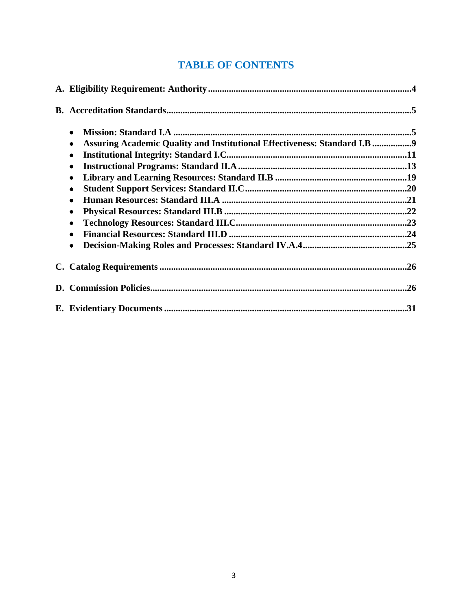# **TABLE OF CONTENTS**

| $\bullet$<br>Assuring Academic Quality and Institutional Effectiveness: Standard I.B 9<br>$\bullet$<br>$\bullet$<br>$\bullet$<br>$\bullet$<br>$\bullet$<br>$\bullet$<br>$\bullet$<br>$\bullet$<br>$\bullet$<br>$\bullet$ |  |
|--------------------------------------------------------------------------------------------------------------------------------------------------------------------------------------------------------------------------|--|
|                                                                                                                                                                                                                          |  |
|                                                                                                                                                                                                                          |  |
|                                                                                                                                                                                                                          |  |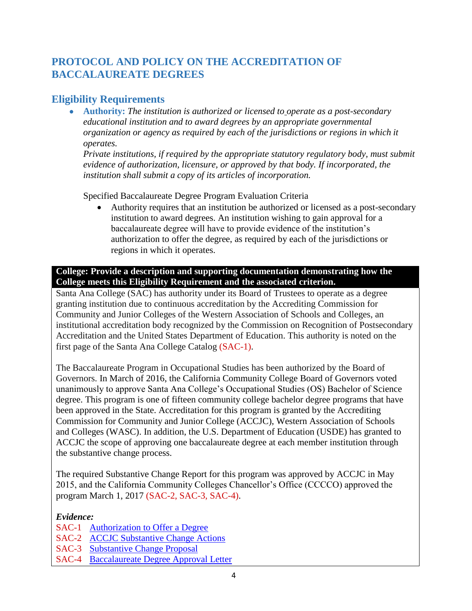### **PROTOCOL AND POLICY ON THE ACCREDITATION OF BACCALAUREATE DEGREES**

### **Eligibility Requirements**

 **Authority:** *The institution is authorized or licensed to operate as a post-secondary educational institution and to award degrees by an appropriate governmental organization or agency as required by each of the jurisdictions or regions in which it operates.*

*Private institutions, if required by the appropriate statutory regulatory body, must submit evidence of authorization, licensure, or approved by that body. If incorporated, the institution shall submit a copy of its articles of incorporation.*

Specified Baccalaureate Degree Program Evaluation Criteria

 Authority requires that an institution be authorized or licensed as a post-secondary institution to award degrees. An institution wishing to gain approval for a baccalaureate degree will have to provide evidence of the institution's authorization to offer the degree, as required by each of the jurisdictions or regions in which it operates.

#### **College: Provide a description and supporting documentation demonstrating how the College meets this Eligibility Requirement and the associated criterion.**

Santa Ana College (SAC) has authority under its Board of Trustees to operate as a degree granting institution due to continuous accreditation by the Accrediting Commission for Community and Junior Colleges of the Western Association of Schools and Colleges, an institutional accreditation body recognized by the Commission on Recognition of Postsecondary Accreditation and the United States Department of Education. This authority is noted on the first page of the Santa Ana College Catalog (SAC-1).

The Baccalaureate Program in Occupational Studies has been authorized by the Board of Governors. In March of 2016, the California Community College Board of Governors voted unanimously to approve Santa Ana College's Occupational Studies (OS) Bachelor of Science degree. This program is one of fifteen community college bachelor degree programs that have been approved in the State. Accreditation for this program is granted by the Accrediting Commission for Community and Junior College (ACCJC), Western Association of Schools and Colleges (WASC). In addition, the U.S. Department of Education (USDE) has granted to ACCJC the scope of approving one baccalaureate degree at each member institution through the substantive change process.

The required Substantive Change Report for this program was approved by ACCJC in May 2015, and the California Community Colleges Chancellor's Office (CCCCO) approved the program March 1, 2017 (SAC-2, SAC-3, SAC-4).

#### *Evidence:*

- SAC-1 [Authorization to Offer a Degree](http://www.sac.edu/CatalogAndSchedule/Documents/2016-2017/Catalog_16-17_07-13-2016.pdf)
- SAC-2 **[ACCJC Substantive Change Actions](https://www.sac.edu/Accreditation/2014SelfEval/ACCJC%20Reports%20%20Correspondence/ACCJC_Substantive_Change_Actions_on_Institutions_May_2015.pdf)**
- SAC-3 [Substantive Change Proposal](https://www.sac.edu/AcademicProgs/HST/OTA/os/Documents/Accreditation/ACCJC/Substantive%20Change%20Proposal-BS%20Pilot%20Occupational%20Studies%20FINAL.pdf)
- SAC-4 [Baccalaureate Degree Approval Letter](https://www.sac.edu/AcademicProgs/HST/OTA/os/Documents/Accreditation/ACCJC/CCCO%20Approval%20letter.pdf)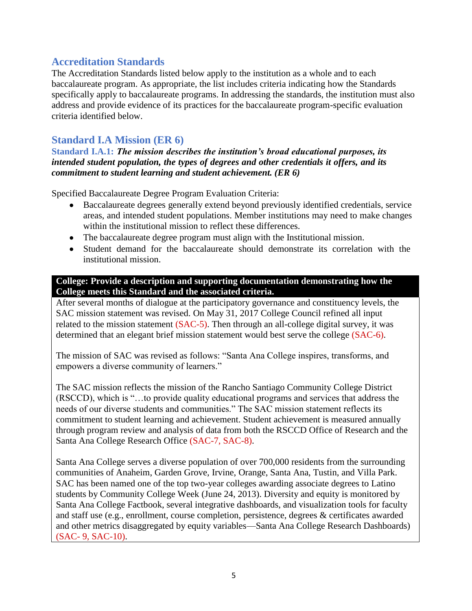#### **Accreditation Standards**

The Accreditation Standards listed below apply to the institution as a whole and to each baccalaureate program. As appropriate, the list includes criteria indicating how the Standards specifically apply to baccalaureate programs. In addressing the standards, the institution must also address and provide evidence of its practices for the baccalaureate program-specific evaluation criteria identified below.

### **Standard I.A Mission (ER 6)**

**Standard I.A.1:** *The mission describes the institution's broad educational purposes, its intended student population, the types of degrees and other credentials it offers, and its commitment to student learning and student achievement. (ER 6)*

Specified Baccalaureate Degree Program Evaluation Criteria:

- Baccalaureate degrees generally extend beyond previously identified credentials, service areas, and intended student populations. Member institutions may need to make changes within the institutional mission to reflect these differences.
- The baccalaureate degree program must align with the Institutional mission.
- Student demand for the baccalaureate should demonstrate its correlation with the institutional mission.

#### **College: Provide a description and supporting documentation demonstrating how the College meets this Standard and the associated criteria.**

After several months of dialogue at the participatory governance and constituency levels, the SAC mission statement was revised. On May 31, 2017 College Council refined all input related to the mission statement (SAC-5). Then through an all-college digital survey, it was determined that an elegant brief mission statement would best serve the college (SAC-6).

The mission of SAC was revised as follows: "Santa Ana College inspires, transforms, and empowers a diverse community of learners."

The SAC mission reflects the mission of the Rancho Santiago Community College District (RSCCD), which is "…to provide quality educational programs and services that address the needs of our diverse students and communities." The SAC mission statement reflects its commitment to student learning and achievement. Student achievement is measured annually through program review and analysis of data from both the RSCCD Office of Research and the Santa Ana College Research Office (SAC-7, SAC-8).

Santa Ana College serves a diverse population of over 700,000 residents from the surrounding communities of Anaheim, Garden Grove, Irvine, Orange, Santa Ana, Tustin, and Villa Park. SAC has been named one of the top two-year colleges awarding associate degrees to Latino students by Community College Week (June 24, 2013). Diversity and equity is monitored by Santa Ana College Factbook, several integrative dashboards, and visualization tools for faculty and staff use (e.g., enrollment, course completion, persistence, degrees & certificates awarded and other metrics disaggregated by equity variables—Santa Ana College Research Dashboards) (SAC- 9, SAC-10).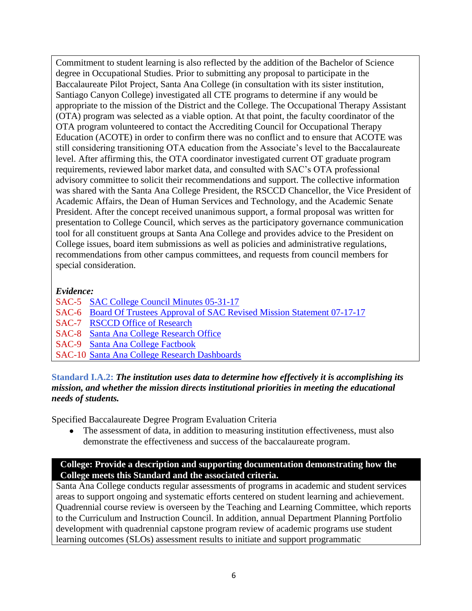Commitment to student learning is also reflected by the addition of the Bachelor of Science degree in Occupational Studies. Prior to submitting any proposal to participate in the Baccalaureate Pilot Project, Santa Ana College (in consultation with its sister institution, Santiago Canyon College) investigated all CTE programs to determine if any would be appropriate to the mission of the District and the College. The Occupational Therapy Assistant (OTA) program was selected as a viable option. At that point, the faculty coordinator of the OTA program volunteered to contact the Accrediting Council for Occupational Therapy Education (ACOTE) in order to confirm there was no conflict and to ensure that ACOTE was still considering transitioning OTA education from the Associate's level to the Baccalaureate level. After affirming this, the OTA coordinator investigated current OT graduate program requirements, reviewed labor market data, and consulted with SAC's OTA professional advisory committee to solicit their recommendations and support. The collective information was shared with the Santa Ana College President, the RSCCD Chancellor, the Vice President of Academic Affairs, the Dean of Human Services and Technology, and the Academic Senate President. After the concept received unanimous support, a formal proposal was written for presentation to College Council, which serves as the participatory governance communication tool for all constituent groups at Santa Ana College and provides advice to the President on College issues, board item submissions as well as policies and administrative regulations, recommendations from other campus committees, and requests from council members for special consideration.

#### *Evidence:*

- SAC-5 [SAC College Council Minutes 05-31-17](https://www.sac.edu/President/collegecouncil/Documents/2017/05%2031%2017%20(Approved).pdf)
- SAC-6 [Board Of Trustees Approval of SAC Revised Mission Statement 07-17-17](https://www.sac.edu/AcademicProgs/HST/OTA/os/Documents/Accreditation/ACCJC/BOT%20Approval%20of%20SAC%20Revised%20Mission%20Statement_2017-07-17.pdf)
- SAC-7 [RSCCD Office of Research](https://rsccd.edu/Departments/Research/Pages/Reports-Directory.aspx)
- SAC-8 [Santa Ana College Research Office](http://www.sac.edu/research/Pages/default.aspx)
- SAC-9 [Santa Ana College Factbook](http://www.sac.edu/research/Pages/Factbook.aspx)
- SAC-10 [Santa Ana College Research Dashboards](https://www.sac.edu/research/Pages/Tableau-Research-Pages.aspx)

#### **Standard I.A.2:** *The institution uses data to determine how effectively it is accomplishing its mission, and whether the mission directs institutional priorities in meeting the educational needs of students.*

Specified Baccalaureate Degree Program Evaluation Criteria

 The assessment of data, in addition to measuring institution effectiveness, must also demonstrate the effectiveness and success of the baccalaureate program.

#### **College: Provide a description and supporting documentation demonstrating how the College meets this Standard and the associated criteria.**

Santa Ana College conducts regular assessments of programs in academic and student services areas to support ongoing and systematic efforts centered on student learning and achievement. Quadrennial course review is overseen by the Teaching and Learning Committee, which reports to the Curriculum and Instruction Council. In addition, annual Department Planning Portfolio development with quadrennial capstone program review of academic programs use student learning outcomes (SLOs) assessment results to initiate and support programmatic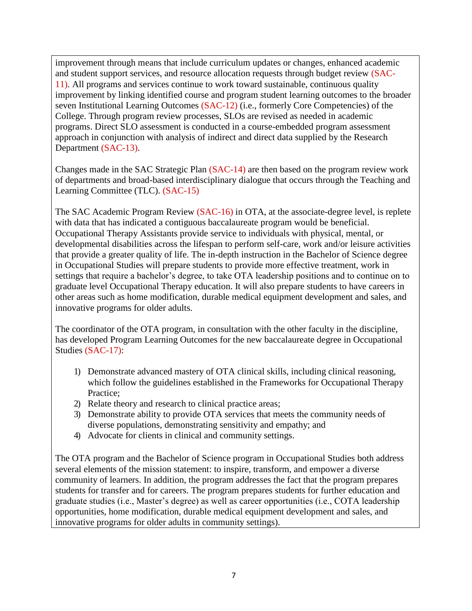improvement through means that include curriculum updates or changes, enhanced academic and student support services, and resource allocation requests through budget review (SAC-11). All programs and services continue to work toward sustainable, continuous quality improvement by linking identified course and program student learning outcomes to the broader seven Institutional Learning Outcomes (SAC-12) (i.e., formerly Core Competencies) of the College. Through program review processes, SLOs are revised as needed in academic programs. Direct SLO assessment is conducted in a course-embedded program assessment approach in conjunction with analysis of indirect and direct data supplied by the Research Department (SAC-13).

Changes made in the SAC Strategic Plan (SAC-14) are then based on the program review work of departments and broad-based interdisciplinary dialogue that occurs through the Teaching and Learning Committee (TLC). (SAC-15)

The SAC Academic Program Review (SAC-16) in OTA, at the associate-degree level, is replete with data that has indicated a contiguous baccalaureate program would be beneficial. Occupational Therapy Assistants provide service to individuals with physical, mental, or developmental disabilities across the lifespan to perform self-care, work and/or leisure activities that provide a greater quality of life. The in-depth instruction in the Bachelor of Science degree in Occupational Studies will prepare students to provide more effective treatment, work in settings that require a bachelor's degree, to take OTA leadership positions and to continue on to graduate level Occupational Therapy education. It will also prepare students to have careers in other areas such as home modification, durable medical equipment development and sales, and innovative programs for older adults.

The coordinator of the OTA program, in consultation with the other faculty in the discipline, has developed Program Learning Outcomes for the new baccalaureate degree in Occupational Studies (SAC-17):

- 1) Demonstrate advanced mastery of OTA clinical skills, including clinical reasoning, which follow the guidelines established in the Frameworks for Occupational Therapy Practice;
- 2) Relate theory and research to clinical practice areas;
- 3) Demonstrate ability to provide OTA services that meets the community needs of diverse populations, demonstrating sensitivity and empathy; and
- 4) Advocate for clients in clinical and community settings.

The OTA program and the Bachelor of Science program in Occupational Studies both address several elements of the mission statement: to inspire, transform, and empower a diverse community of learners. In addition, the program addresses the fact that the program prepares students for transfer and for careers. The program prepares students for further education and graduate studies (i.e., Master's degree) as well as career opportunities (i.e., COTA leadership opportunities, home modification, durable medical equipment development and sales, and innovative programs for older adults in community settings).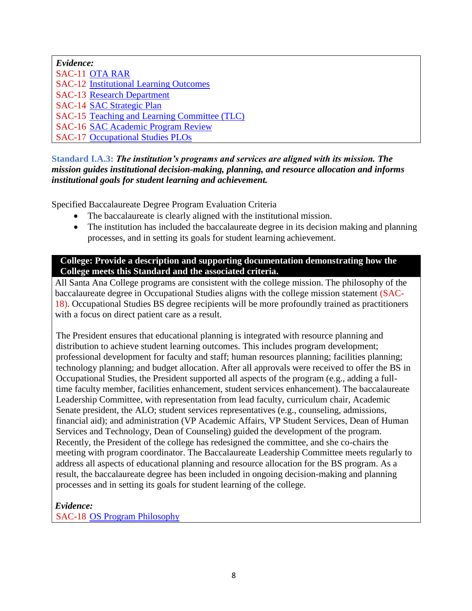| Evidence:                                     |
|-----------------------------------------------|
| <b>SAC-11 OTA RAR</b>                         |
| <b>SAC-12 Institutional Learning Outcomes</b> |
| <b>SAC-13 Research Department</b>             |
| <b>SAC-14 SAC Strategic Plan</b>              |
| SAC-15 Teaching and Learning Committee (TLC)  |
| <b>SAC-16 SAC Academic Program Review</b>     |
| <b>SAC-17 Occupational Studies PLOs</b>       |

#### **Standard I.A.3:** *The institution's programs and services are aligned with its mission. The mission guides institutional decision-making, planning, and resource allocation and informs institutional goals for student learning and achievement.*

Specified Baccalaureate Degree Program Evaluation Criteria

- The baccalaureate is clearly aligned with the institutional mission.
- The institution has included the baccalaureate degree in its decision making and planning processes, and in setting its goals for student learning achievement.

#### **College: Provide a description and supporting documentation demonstrating how the College meets this Standard and the associated criteria.**

All Santa Ana College programs are consistent with the college mission. The philosophy of the baccalaureate degree in Occupational Studies aligns with the college mission statement (SAC-18). Occupational Studies BS degree recipients will be more profoundly trained as practitioners with a focus on direct patient care as a result.

The President ensures that educational planning is integrated with resource planning and distribution to achieve student learning outcomes. This includes program development; professional development for faculty and staff; human resources planning; facilities planning; technology planning; and budget allocation. After all approvals were received to offer the BS in Occupational Studies, the President supported all aspects of the program (e.g., adding a fulltime faculty member, facilities enhancement, student services enhancement). The baccalaureate Leadership Committee, with representation from lead faculty, curriculum chair, Academic Senate president, the ALO; student services representatives (e.g., counseling, admissions, financial aid); and administration (VP Academic Affairs, VP Student Services, Dean of Human Services and Technology, Dean of Counseling) guided the development of the program. Recently, the President of the college has redesigned the committee, and she co-chairs the meeting with program coordinator. The Baccalaureate Leadership Committee meets regularly to address all aspects of educational planning and resource allocation for the BS program. As a result, the baccalaureate degree has been included in ongoing decision-making and planning processes and in setting its goals for student learning of the college.

*Evidence:* SAC-18 [OS Program Philosophy](https://www.sac.edu/AcademicProgs/HST/OTA/os/Documents/Accreditation/ACCJC/OS%20Program%20Philosophy.pdf)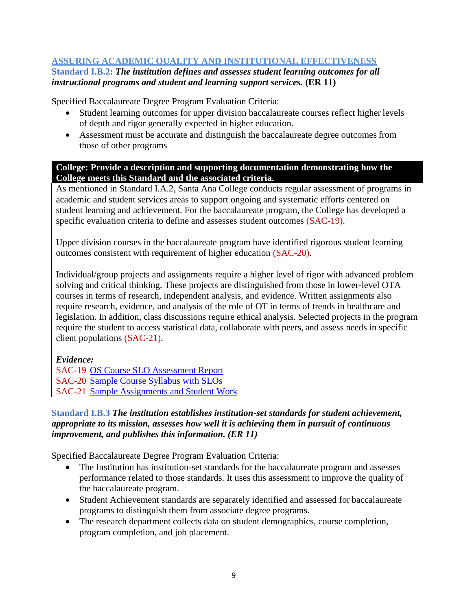#### **ASSURING ACADEMIC QUALITY AND INSTITUTIONAL EFFECTIVENESS**

#### **Standard I.B.2:** *The institution defines and assesses student learning outcomes for all instructional programs and student and learning support services.* **(ER 11)**

Specified Baccalaureate Degree Program Evaluation Criteria:

- Student learning outcomes for upper division baccalaureate courses reflect higher levels of depth and rigor generally expected in higher education.
- Assessment must be accurate and distinguish the baccalaureate degree outcomes from those of other programs

#### **College: Provide a description and supporting documentation demonstrating how the College meets this Standard and the associated criteria.**

As mentioned in Standard I.A.2, Santa Ana College conducts regular assessment of programs in academic and student services areas to support ongoing and systematic efforts centered on student learning and achievement. For the baccalaureate program, the College has developed a specific evaluation criteria to define and assesses student outcomes (SAC-19).

Upper division courses in the baccalaureate program have identified rigorous student learning outcomes consistent with requirement of higher education (SAC-20).

Individual/group projects and assignments require a higher level of rigor with advanced problem solving and critical thinking. These projects are distinguished from those in lower-level OTA courses in terms of research, independent analysis, and evidence. Written assignments also require research, evidence, and analysis of the role of OT in terms of trends in healthcare and legislation. In addition, class discussions require ethical analysis. Selected projects in the program require the student to access statistical data, collaborate with peers, and assess needs in specific client populations (SAC-21).

*Evidence:*

SAC-19 [OS Course SLO Assessment Report](https://www.sac.edu/AcademicProgs/HST/OTA/os/Documents/Accreditation/ACCJC/OS%20Course%20SLO%20Asssessment%20Report.pdf) SAC-20 [Sample Course Syllabus with SLOs](https://www.sac.edu/AcademicProgs/HST/OTA/os/Documents/Accreditation/ACCJC/OS%20304%20Syllabus%202017.pdf) SAC-21 [Sample Assignments and Student Work](https://www.sac.edu/AcademicProgs/HST/OTA/os/Documents/Accreditation/ACCJC/Assignment.1.pdf)

#### **Standard I.B.3** *The institution establishes institution-set standards for student achievement, appropriate to its mission, assesses how well it is achieving them in pursuit of continuous improvement, and publishes this information. (ER 11)*

Specified Baccalaureate Degree Program Evaluation Criteria:

- The Institution has institution-set standards for the baccalaureate program and assesses performance related to those standards. It uses this assessment to improve the quality of the baccalaureate program.
- Student Achievement standards are separately identified and assessed for baccalaureate programs to distinguish them from associate degree programs.
- The research department collects data on student demographics, course completion, program completion, and job placement.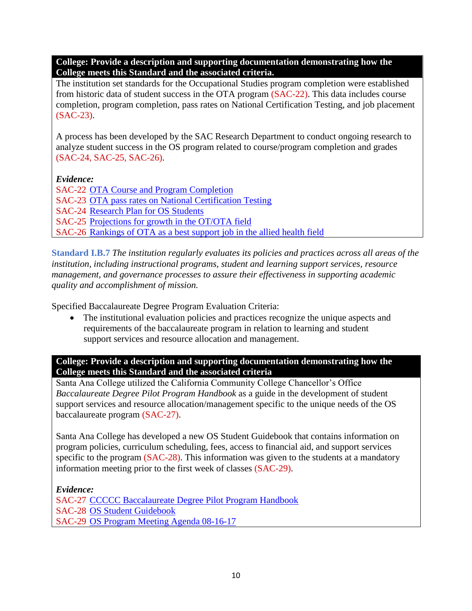The institution set standards for the Occupational Studies program completion were established from historic data of student success in the OTA program (SAC-22). This data includes course completion, program completion, pass rates on National Certification Testing, and job placement (SAC-23).

A process has been developed by the SAC Research Department to conduct ongoing research to analyze student success in the OS program related to course/program completion and grades (SAC-24, SAC-25, SAC-26).

*Evidence:*

SAC-22 [OTA Course and Program Completion](https://www.sac.edu/AcademicProgs/HST/OTA/os/Documents/Accreditation/ACCJC/OTA%20Course%20and%20Program%20Completion.pdf) SAC-23 [OTA pass rates on National Certification Testing](https://sac.edu/AcademicProgs/HST/OTA/Pages/NBCOT-Certification-Results.aspx) SAC-24 Research Plan [for OS Students](https://www.sac.edu/AcademicProgs/HST/OTA/os/Documents/Accreditation/ACCJC/OTA%20Baccalaureate%20Degree%20Program%20-%20Research%20Office%20Plan.pdf) SAC-25 [Projections for growth in the OT/OTA field](https://sac.edu/AcademicProgs/HST/OTA/Documents/Resources%20for%20Students.pdf) SAC-26 [Rankings of OTA as a best support job in the allied health field](https://money.usnews.com/careers/best-jobs/occupational-therapy-assistant)

**Standard I.B.7** *The institution regularly evaluates its policies and practices across all areas of the institution, including instructional programs, student and learning support services, resource management, and governance processes to assure their effectiveness in supporting academic quality and accomplishment of mission.*

Specified Baccalaureate Degree Program Evaluation Criteria:

 The institutional evaluation policies and practices recognize the unique aspects and requirements of the baccalaureate program in relation to learning and student support services and resource allocation and management.

**College: Provide a description and supporting documentation demonstrating how the College meets this Standard and the associated criteria**

Santa Ana College utilized the California Community College Chancellor's Office *Baccalaureate Degree Pilot Program Handbook* as a guide in the development of student support services and resource allocation/management specific to the unique needs of the OS baccalaureate program (SAC-27).

Santa Ana College has developed a new OS Student Guidebook that contains information on program policies, curriculum scheduling, fees, access to financial aid, and support services specific to the program (SAC-28). This information was given to the students at a mandatory information meeting prior to the first week of classes (SAC-29).

*Evidence:*

SAC-27 [CCCCC Baccalaureate Degree Pilot Program Handbook](http://extranet.cccco.edu/Portals/1/ExecutiveOffice/Board/2016_agendas/January/Attachment-3.2-BA-Handbook-2.pdf) SAC-28 [OS Student Guidebook](https://www.sac.edu/AcademicProgs/HST/OTA/os/Documents/Accreditation/ACCJC/OS%20Guidebook_w%20Contents%20Page_2017-08-11_vw%20w%20Org%20Chart.pdf) SAC-29 [OS Program Meeting Agenda 08-16-17](https://www.sac.edu/AcademicProgs/HST/OTA/os/Documents/Accreditation/ACCJC/OS%20Program%20Meeting%20Agenda%2008-16-17.pdf)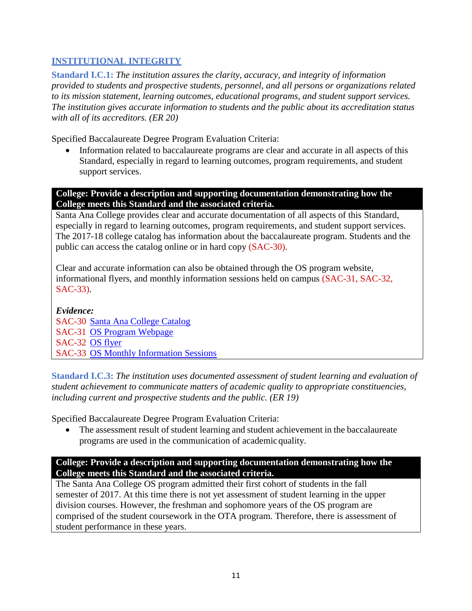#### **INSTITUTIONAL INTEGRITY**

**Standard I.C.1:** *The institution assures the clarity, accuracy, and integrity of information provided to students and prospective students, personnel, and all persons or organizations related to its mission statement, learning outcomes, educational programs, and student support services. The institution gives accurate information to students and the public about its accreditation status with all of its accreditors. (ER 20)*

Specified Baccalaureate Degree Program Evaluation Criteria:

 Information related to baccalaureate programs are clear and accurate in all aspects of this Standard, especially in regard to learning outcomes, program requirements, and student support services.

**College: Provide a description and supporting documentation demonstrating how the College meets this Standard and the associated criteria.**

Santa Ana College provides clear and accurate documentation of all aspects of this Standard, especially in regard to learning outcomes, program requirements, and student support services. The 2017-18 college catalog has information about the baccalaureate program. Students and the public can access the catalog online or in hard copy (SAC-30).

Clear and accurate information can also be obtained through the OS program website, informational flyers, and monthly information sessions held on campus (SAC-31, SAC-32, SAC-33).

*Evidence:* SAC-30 [Santa Ana College Catalog](https://sac.edu/CatalogAndSchedule/Documents/2017-2018/Catalog_17-18.pdf) SAC-31 [OS Program Webpage](https://www.sac.edu/AcademicProgs/HST/OTA/os/Pages/default.aspx) SAC-32 [OS flyer](https://www.sac.edu/AcademicProgs/HST/OTA/os/Documents/Accreditation/ACCJC/OTA_Flyer_c2-1.pdf) SAC-33 [OS Monthly Information Sessions](https://www.sac.edu/AcademicProgs/HST/OTA/Pages/Information-Sessions.aspx)

**Standard I.C.3:** *The institution uses documented assessment of student learning and evaluation of student achievement to communicate matters of academic quality to appropriate constituencies, including current and prospective students and the public. (ER 19)*

Specified Baccalaureate Degree Program Evaluation Criteria:

• The assessment result of student learning and student achievement in the baccalaureate programs are used in the communication of academicquality.

#### **College: Provide a description and supporting documentation demonstrating how the College meets this Standard and the associated criteria.**

The Santa Ana College OS program admitted their first cohort of students in the fall semester of 2017. At this time there is not yet assessment of student learning in the upper division courses. However, the freshman and sophomore years of the OS program are comprised of the student coursework in the OTA program. Therefore, there is assessment of student performance in these years.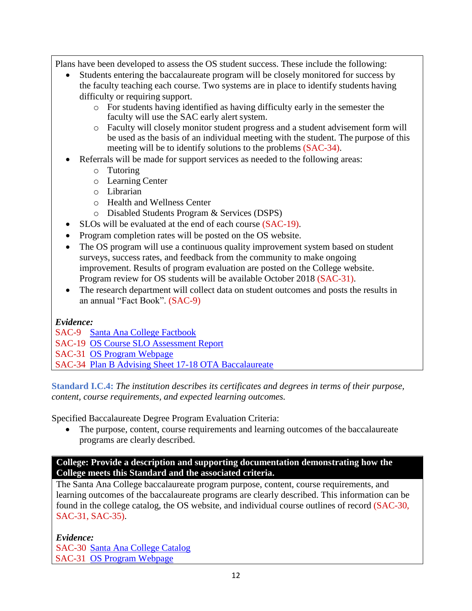Plans have been developed to assess the OS student success. These include the following:

- Students entering the baccalaureate program will be closely monitored for success by the faculty teaching each course. Two systems are in place to identify students having difficulty or requiring support.
	- o For students having identified as having difficulty early in the semester the faculty will use the SAC early alert system.
	- o Faculty will closely monitor student progress and a student advisement form will be used as the basis of an individual meeting with the student. The purpose of this meeting will be to identify solutions to the problems (SAC-34).
- Referrals will be made for support services as needed to the following areas:
	- o Tutoring
	- o Learning Center
	- o Librarian
	- o Health and Wellness Center
	- o Disabled Students Program & Services (DSPS)
- SLOs will be evaluated at the end of each course (SAC-19).
- Program completion rates will be posted on the OS website.
- The OS program will use a continuous quality improvement system based on student surveys, success rates, and feedback from the community to make ongoing improvement. Results of program evaluation are posted on the College website. Program review for OS students will be available October 2018 (SAC-31).
- The research department will collect data on student outcomes and posts the results in an annual "Fact Book". (SAC-9)

#### *Evidence:*

#### SAC-9 [Santa Ana College Factbook](https://www.sac.edu/AcademicProgs/HST/OTA/os/Documents/Accreditation/ACCJC/Santa%20Ana%20College%20Factbook.pdf)

- SAC-19 [OS Course SLO Assessment Report](https://www.sac.edu/AcademicProgs/HST/OTA/os/Documents/Accreditation/ACCJC/OS%20Course%20SLO%20Asssessment%20Report.pdf)
- SAC-31 [OS Program Webpage](https://www.sac.edu/AcademicProgs/HST/OTA/os/Pages/default.aspx)
- SAC-34 [Plan B Advising Sheet 17-18 OTA Baccalaureate](https://www.sac.edu/AcademicProgs/HST/OTA/os/Documents/Accreditation/ACCJC/Plan%20B%20Advising%20Sheet%2017-18%20OTA%20Baccalaureate%20Word%20draft%20072017%20(002).pdf)

**Standard I.C.4:** *The institution describes its certificates and degrees in terms of their purpose, content, course requirements, and expected learning outcomes.*

Specified Baccalaureate Degree Program Evaluation Criteria:

• The purpose, content, course requirements and learning outcomes of the baccalaureate programs are clearly described.

#### **College: Provide a description and supporting documentation demonstrating how the College meets this Standard and the associated criteria.**

The Santa Ana College baccalaureate program purpose, content, course requirements, and learning outcomes of the baccalaureate programs are clearly described. This information can be found in the college catalog, the OS website, and individual course outlines of record (SAC-30, SAC-31, SAC-35).

#### *Evidence:*

SAC-30 [Santa Ana College Catalog](https://sac.edu/CatalogAndSchedule/Documents/2017-2018/Catalog_17-18.pdf) SAC-31 [OS Program Webpage](https://www.sac.edu/AcademicProgs/HST/OTA/os/Pages/default.aspx)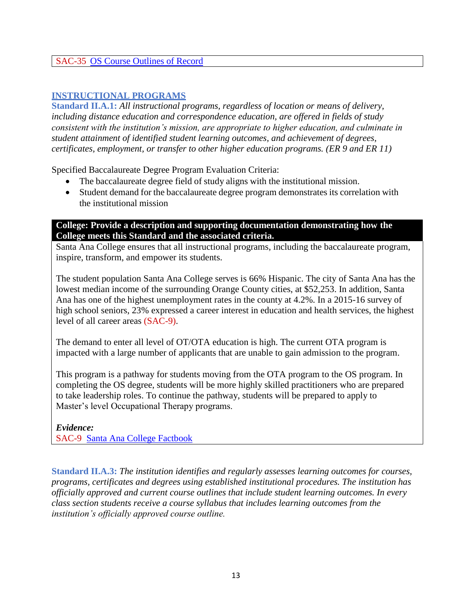#### SAC-35 [OS Course Outlines of Record](https://www.sac.edu/AcademicProgs/HST/OTA/os/Documents/Accreditation/ACCJC/Baccalaureate%20Program%20Individual%20CORs.pdf)

#### **INSTRUCTIONAL PROGRAMS**

**Standard II.A.1:** *All instructional programs, regardless of location or means of delivery, including distance education and correspondence education, are offered in fields of study consistent with the institution's mission, are appropriate to higher education, and culminate in student attainment of identified student learning outcomes, and achievement of degrees, certificates, employment, or transfer to other higher education programs. (ER 9 and ER 11)*

Specified Baccalaureate Degree Program Evaluation Criteria:

- The baccalaureate degree field of study aligns with the institutional mission.
- Student demand for the baccalaureate degree program demonstrates its correlation with the institutional mission

#### **College: Provide a description and supporting documentation demonstrating how the College meets this Standard and the associated criteria.**

Santa Ana College ensures that all instructional programs, including the baccalaureate program, inspire, transform, and empower its students.

The student population Santa Ana College serves is 66% Hispanic. The city of Santa Ana has the lowest median income of the surrounding Orange County cities, at \$52,253. In addition, Santa Ana has one of the highest unemployment rates in the county at 4.2%. In a 2015-16 survey of high school seniors, 23% expressed a career interest in education and health services, the highest level of all career areas (SAC-9).

The demand to enter all level of OT/OTA education is high. The current OTA program is impacted with a large number of applicants that are unable to gain admission to the program.

This program is a pathway for students moving from the OTA program to the OS program. In completing the OS degree, students will be more highly skilled practitioners who are prepared to take leadership roles. To continue the pathway, students will be prepared to apply to Master's level Occupational Therapy programs.

*Evidence:* SAC-9 [Santa Ana College Factbook](https://www.sac.edu/AcademicProgs/HST/OTA/os/Documents/Accreditation/ACCJC/Santa%20Ana%20College%20Factbook.pdf)

**Standard II.A.3:** *The institution identifies and regularly assesses learning outcomes for courses, programs, certificates and degrees using established institutional procedures. The institution has officially approved and current course outlines that include student learning outcomes. In every class section students receive a course syllabus that includes learning outcomes from the institution's officially approved course outline.*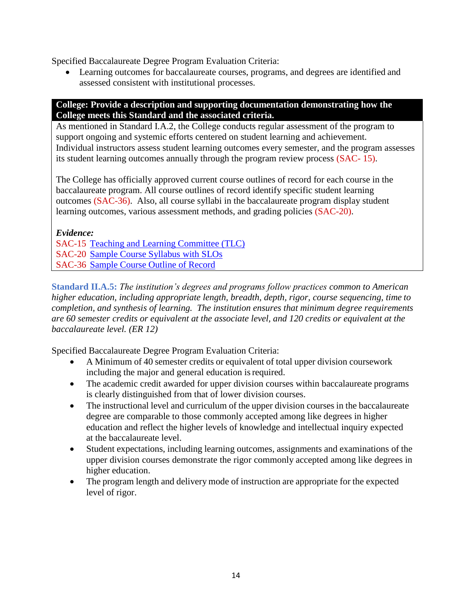Specified Baccalaureate Degree Program Evaluation Criteria:

 Learning outcomes for baccalaureate courses, programs, and degrees are identified and assessed consistent with institutional processes.

#### **College: Provide a description and supporting documentation demonstrating how the College meets this Standard and the associated criteria.**

As mentioned in Standard I.A.2, the College conducts regular assessment of the program to support ongoing and systemic efforts centered on student learning and achievement. Individual instructors assess student learning outcomes every semester, and the program assesses its student learning outcomes annually through the program review process (SAC- 15).

The College has officially approved current course outlines of record for each course in the baccalaureate program. All course outlines of record identify specific student learning outcomes (SAC-36). Also, all course syllabi in the baccalaureate program display student learning outcomes, various assessment methods, and grading policies (SAC-20).

*Evidence:*

SAC-15 [Teaching and Learning Committee \(TLC\)](https://sac.edu/committees/TLC/Pages/default.aspx) SAC-20 [Sample Course Syllabus](https://www.sac.edu/AcademicProgs/HST/OTA/os/Documents/Accreditation/ACCJC/OS%20304%20Syllabus%202017.pdf) with SLOs SAC-36 [Sample Course Outline of Record](https://www.sac.edu/AcademicProgs/HST/OTA/os/Documents/Accreditation/ACCJC/Course%20Outline%20of%20Record.pdf)

**Standard II.A.5:** *The institution's degrees and programs follow practices common to American higher education, including appropriate length, breadth, depth, rigor, course sequencing, time to completion, and synthesis of learning. The institution ensures that minimum degree requirements are 60 semester credits or equivalent at the associate level, and 120 credits or equivalent at the baccalaureate level. (ER 12)*

Specified Baccalaureate Degree Program Evaluation Criteria:

- A Minimum of 40 semester credits or equivalent of total upper division coursework including the major and general education is required.
- The academic credit awarded for upper division courses within baccalaureate programs is clearly distinguished from that of lower division courses.
- The instructional level and curriculum of the upper division courses in the baccalaureate degree are comparable to those commonly accepted among like degrees in higher education and reflect the higher levels of knowledge and intellectual inquiry expected at the baccalaureate level.
- Student expectations, including learning outcomes, assignments and examinations of the upper division courses demonstrate the rigor commonly accepted among like degrees in higher education.
- The program length and delivery mode of instruction are appropriate for the expected level of rigor.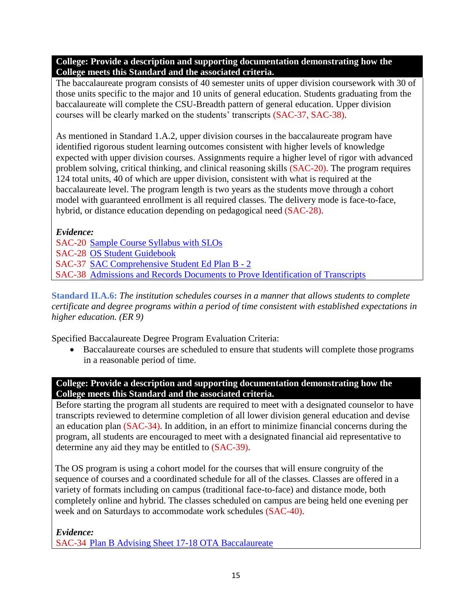The baccalaureate program consists of 40 semester units of upper division coursework with 30 of those units specific to the major and 10 units of general education. Students graduating from the baccalaureate will complete the CSU-Breadth pattern of general education. Upper division courses will be clearly marked on the students' transcripts (SAC-37, SAC-38).

As mentioned in Standard 1.A.2, upper division courses in the baccalaureate program have identified rigorous student learning outcomes consistent with higher levels of knowledge expected with upper division courses. Assignments require a higher level of rigor with advanced problem solving, critical thinking, and clinical reasoning skills (SAC-20). The program requires 124 total units, 40 of which are upper division, consistent with what is required at the baccalaureate level. The program length is two years as the students move through a cohort model with guaranteed enrollment is all required classes. The delivery mode is face-to-face, hybrid, or distance education depending on pedagogical need (SAC-28).

#### *Evidence:*

SAC-20 [Sample Course Syllabus with SLOs](https://www.sac.edu/AcademicProgs/HST/OTA/os/Documents/Accreditation/ACCJC/OS%20304%20Syllabus%202017.pdf) SAC-28 [OS Student Guidebook](https://www.sac.edu/AcademicProgs/HST/OTA/os/Documents/Accreditation/ACCJC/OS%20Guidebook_w%20Contents%20Page_2017-08-11_vw%20w%20Org%20Chart.pdf) SAC-37 [SAC Comprehensive Student Ed Plan B -](https://www.sac.edu/AcademicProgs/HST/OTA/os/Documents/Accreditation/ACCJC/SAC%20Comprehensive%20Student%20Ed%20Plan%20B%20-%202.pdf) 2 SAC-38 [Admissions and Records Documents to Prove Identification of Transcripts](https://www.sac.edu/AcademicProgs/HST/OTA/os/Documents/Accreditation/ACCJC/Admissions%20and%20Records%20Document%20to%20Prove%20Identification%20of%20Transcripts.pdf)

**Standard II.A.6:** *The institution schedules courses in a manner that allows students to complete certificate and degree programs within a period of time consistent with established expectations in higher education. (ER 9)*

Specified Baccalaureate Degree Program Evaluation Criteria:

 Baccalaureate courses are scheduled to ensure that students will complete those programs in a reasonable period of time.

#### **College: Provide a description and supporting documentation demonstrating how the College meets this Standard and the associated criteria.**

Before starting the program all students are required to meet with a designated counselor to have transcripts reviewed to determine completion of all lower division general education and devise an education plan (SAC-34). In addition, in an effort to minimize financial concerns during the program, all students are encouraged to meet with a designated financial aid representative to determine any aid they may be entitled to (SAC-39).

The OS program is using a cohort model for the courses that will ensure congruity of the sequence of courses and a coordinated schedule for all of the classes. Classes are offered in a variety of formats including on campus (traditional face-to-face) and distance mode, both completely online and hybrid. The classes scheduled on campus are being held one evening per week and on Saturdays to accommodate work schedules (SAC-40).

*Evidence:* SAC-34 [Plan B Advising Sheet 17-18 OTA Baccalaureate](https://www.sac.edu/AcademicProgs/HST/OTA/os/Documents/Accreditation/ACCJC/Plan%20B%20Advising%20Sheet%2017-18%20OTA%20Baccalaureate%20Word%20draft%20072017%20(002).pdf)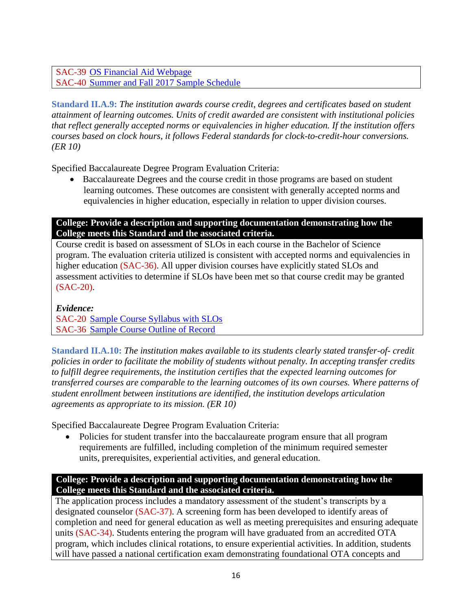SAC-39 [OS Financial Aid Webpage](https://www.sac.edu/StudentServices/FinancialAid/Pages/FA-FOR-BACHELOR) SAC-40 [Summer and Fall 2017 Sample Schedule](https://www.sac.edu/AcademicProgs/HST/OTA/os/Documents/Accreditation/ACCJC/Summer%20and%20Fall%202017%20Sample%20Schedule.pdf)

**Standard II.A.9:** *The institution awards course credit, degrees and certificates based on student attainment of learning outcomes. Units of credit awarded are consistent with institutional policies that reflect generally accepted norms or equivalencies in higher education. If the institution offers courses based on clock hours, it follows Federal standards for clock-to-credit-hour conversions. (ER 10)*

Specified Baccalaureate Degree Program Evaluation Criteria:

 Baccalaureate Degrees and the course credit in those programs are based on student learning outcomes. These outcomes are consistent with generally accepted norms and equivalencies in higher education, especially in relation to upper division courses.

#### **College: Provide a description and supporting documentation demonstrating how the College meets this Standard and the associated criteria.**

Course credit is based on assessment of SLOs in each course in the Bachelor of Science program. The evaluation criteria utilized is consistent with accepted norms and equivalencies in higher education (SAC-36). All upper division courses have explicitly stated SLOs and assessment activities to determine if SLOs have been met so that course credit may be granted (SAC-20).

*Evidence:*

SAC-20 [Sample Course Syllabus with SLOs](https://www.sac.edu/AcademicProgs/HST/OTA/os/Documents/Accreditation/ACCJC/OS%20304%20Syllabus%202017.pdf) SAC-36 [Sample Course Outline of Record](https://www.sac.edu/AcademicProgs/HST/OTA/os/Documents/Accreditation/ACCJC/Course%20Outline%20of%20Record.pdf)

**Standard II.A.10:** *The institution makes available to its students clearly stated transfer-of- credit policies in order to facilitate the mobility of students without penalty. In accepting transfer credits to fulfill degree requirements, the institution certifies that the expected learning outcomes for transferred courses are comparable to the learning outcomes of its own courses. Where patterns of student enrollment between institutions are identified, the institution develops articulation agreements as appropriate to its mission. (ER 10)*

Specified Baccalaureate Degree Program Evaluation Criteria:

• Policies for student transfer into the baccalaureate program ensure that all program requirements are fulfilled, including completion of the minimum required semester units, prerequisites, experiential activities, and general education.

#### **College: Provide a description and supporting documentation demonstrating how the College meets this Standard and the associated criteria.**

The application process includes a mandatory assessment of the student's transcripts by a designated counselor (SAC-37). A screening form has been developed to identify areas of completion and need for general education as well as meeting prerequisites and ensuring adequate units (SAC-34). Students entering the program will have graduated from an accredited OTA program, which includes clinical rotations, to ensure experiential activities. In addition, students will have passed a national certification exam demonstrating foundational OTA concepts and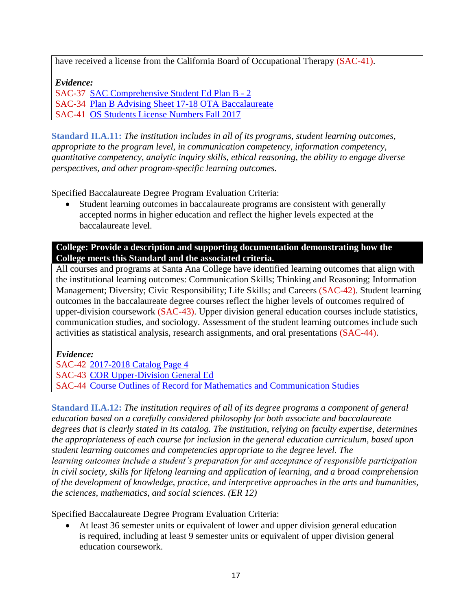have received a license from the California Board of Occupational Therapy (SAC-41).

*Evidence:*

SAC-37 [SAC Comprehensive Student Ed Plan B -](https://www.sac.edu/AcademicProgs/HST/OTA/os/Documents/Accreditation/ACCJC/SAC%20Comprehensive%20Student%20Ed%20Plan%20B%20-%202.pdf) 2

SAC-34 [Plan B Advising Sheet 17-18 OTA Baccalaureate](https://www.sac.edu/AcademicProgs/HST/OTA/os/Documents/Accreditation/ACCJC/Plan%20B%20Advising%20Sheet%2017-18%20OTA%20Baccalaureate%20Word%20draft%20072017%20(002).pdf)

SAC-41 [OS Students License Numbers Fall 2017](https://www.sac.edu/AcademicProgs/HST/OTA/os/Documents/Accreditation/ACCJC/Occupational%20Studies%20Students%20License%20Numbers%20Fall%202017.pdf)

**Standard II.A.11:** *The institution includes in all of its programs, student learning outcomes, appropriate to the program level, in communication competency, information competency, quantitative competency, analytic inquiry skills, ethical reasoning, the ability to engage diverse perspectives, and other program-specific learning outcomes.*

Specified Baccalaureate Degree Program Evaluation Criteria:

 Student learning outcomes in baccalaureate programs are consistent with generally accepted norms in higher education and reflect the higher levels expected at the baccalaureate level.

**College: Provide a description and supporting documentation demonstrating how the College meets this Standard and the associated criteria.**

All courses and programs at Santa Ana College have identified learning outcomes that align with the institutional learning outcomes: Communication Skills; Thinking and Reasoning; Information Management; Diversity; Civic Responsibility; Life Skills; and Careers (SAC-42). Student learning outcomes in the baccalaureate degree courses reflect the higher levels of outcomes required of upper-division coursework (SAC-43). Upper division general education courses include statistics, communication studies, and sociology. Assessment of the student learning outcomes include such activities as statistical analysis, research assignments, and oral presentations (SAC-44).

*Evidence:*

SAC-42 [2017-2018 Catalog Page 4](https://www.sac.edu/AcademicProgs/HST/OTA/os/Documents/Accreditation/ACCJC/2017-2018%20SAC%20Catalog%20Page%204.pdf) SAC-43 [COR Upper-Division General Ed](https://www.sac.edu/AcademicProgs/HST/OTA/os/Documents/Accreditation/ACCJC/COR%20Upper%20Division%20General%20Education.pdf) SAC-44 Course Outlines of Record [for Mathematics and Communication Studies](https://www.sac.edu/AcademicProgs/HST/OTA/os/Documents/Accreditation/ACCJC/Sample%20COR%20for%20Mathematics%20and%20Communication%20Studies.pdf)

**Standard II.A.12:** *The institution requires of all of its degree programs a component of general education based on a carefully considered philosophy for both associate and baccalaureate degrees that is clearly stated in its catalog. The institution, relying on faculty expertise, determines the appropriateness of each course for inclusion in the general education curriculum, based upon student learning outcomes and competencies appropriate to the degree level. The learning outcomes include a student's preparation for and acceptance of responsible participation in civil society, skills for lifelong learning and application of learning, and a broad comprehension of the development of knowledge, practice, and interpretive approaches in the arts and humanities, the sciences, mathematics, and social sciences. (ER 12)*

Specified Baccalaureate Degree Program Evaluation Criteria:

 At least 36 semester units or equivalent of lower and upper division general education is required, including at least 9 semester units or equivalent of upper division general education coursework.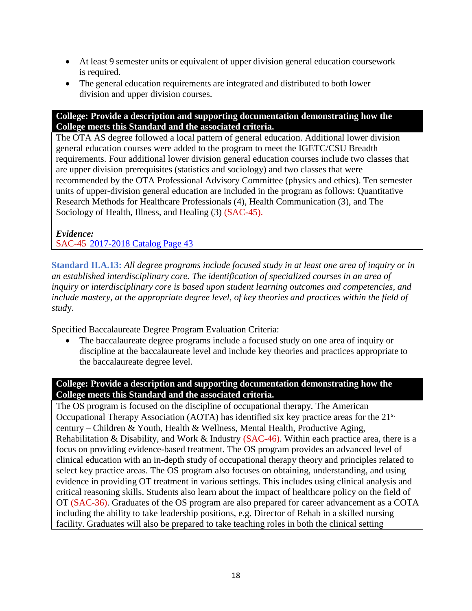- At least 9 semester units or equivalent of upper division general education coursework is required.
- The general education requirements are integrated and distributed to both lower division and upper division courses.

The OTA AS degree followed a local pattern of general education. Additional lower division general education courses were added to the program to meet the IGETC/CSU Breadth requirements. Four additional lower division general education courses include two classes that are upper division prerequisites (statistics and sociology) and two classes that were recommended by the OTA Professional Advisory Committee (physics and ethics). Ten semester units of upper-division general education are included in the program as follows: Quantitative Research Methods for Healthcare Professionals (4), Health Communication (3), and The Sociology of Health, Illness, and Healing (3) (SAC-45).

*Evidence:* SAC-45 [2017-2018 Catalog Page 43](https://www.sac.edu/AcademicProgs/HST/OTA/os/Documents/Accreditation/ACCJC/2017-2018%20SAC%20Catalog%20Page%2043.pdf)

**Standard II.A.13:** *All degree programs include focused study in at least one area of inquiry or in an established interdisciplinary core. The identification of specialized courses in an area of inquiry or interdisciplinary core is based upon student learning outcomes and competencies, and include mastery, at the appropriate degree level, of key theories and practices within the field of stud*y.

Specified Baccalaureate Degree Program Evaluation Criteria:

 The baccalaureate degree programs include a focused study on one area of inquiry or discipline at the baccalaureate level and include key theories and practices appropriate to the baccalaureate degree level.

#### **College: Provide a description and supporting documentation demonstrating how the College meets this Standard and the associated criteria.**

The OS program is focused on the discipline of occupational therapy. The American Occupational Therapy Association (AOTA) has identified six key practice areas for the 21<sup>st</sup> century – Children & Youth, Health & Wellness, Mental Health, Productive Aging, Rehabilitation & Disability, and Work & Industry (SAC-46). Within each practice area, there is a focus on providing evidence-based treatment. The OS program provides an advanced level of clinical education with an in-depth study of occupational therapy theory and principles related to select key practice areas. The OS program also focuses on obtaining, understanding, and using evidence in providing OT treatment in various settings. This includes using clinical analysis and critical reasoning skills. Students also learn about the impact of healthcare policy on the field of OT (SAC-36). Graduates of the OS program are also prepared for career advancement as a COTA including the ability to take leadership positions, e.g. Director of Rehab in a skilled nursing facility. Graduates will also be prepared to take teaching roles in both the clinical setting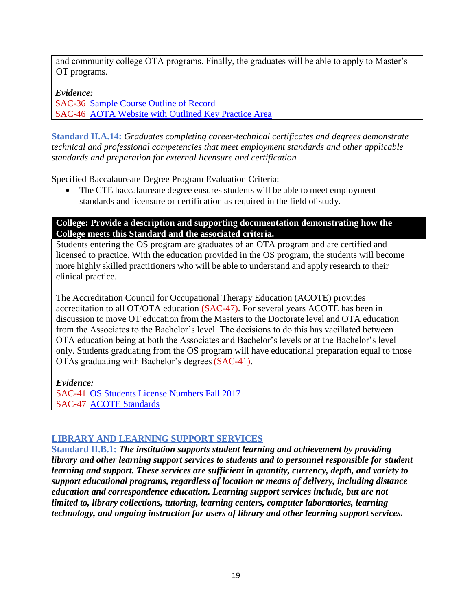and community college OTA programs. Finally, the graduates will be able to apply to Master's OT programs.

*Evidence:* SAC-36 [Sample Course Outline of Record](https://www.sac.edu/AcademicProgs/HST/OTA/os/Documents/Accreditation/ACCJC/Course%20Outline%20of%20Record.pdf) SAC-46 [AOTA Website with Outlined Key Practice Area](https://www.aota.org/Practice.aspx)

**Standard II.A.14:** *Graduates completing career-technical certificates and degrees demonstrate technical and professional competencies that meet employment standards and other applicable standards and preparation for external licensure and certification*

Specified Baccalaureate Degree Program Evaluation Criteria:

 The CTE baccalaureate degree ensures students will be able to meet employment standards and licensure or certification as required in the field of study.

#### **College: Provide a description and supporting documentation demonstrating how the College meets this Standard and the associated criteria.**

Students entering the OS program are graduates of an OTA program and are certified and licensed to practice. With the education provided in the OS program, the students will become more highly skilled practitioners who will be able to understand and apply research to their clinical practice.

The Accreditation Council for Occupational Therapy Education (ACOTE) provides accreditation to all OT/OTA education (SAC-47). For several years ACOTE has been in discussion to move OT education from the Masters to the Doctorate level and OTA education from the Associates to the Bachelor's level. The decisions to do this has vacillated between OTA education being at both the Associates and Bachelor's levels or at the Bachelor's level only. Students graduating from the OS program will have educational preparation equal to those OTAs graduating with Bachelor's degrees(SAC-41).

*Evidence:* SAC-41 [OS Students License Numbers Fall 2017](https://www.sac.edu/AcademicProgs/HST/OTA/os/Documents/Accreditation/ACCJC/Occupational%20Studies%20Students%20License%20Numbers%20Fall%202017.pdf) SAC-47 [ACOTE Standards](https://www.aota.org/Education-Careers/Accreditation/StandardsReview.aspx)

#### **LIBRARY AND LEARNING SUPPORT SERVICES**

**Standard II.B.1:** *The institution supports student learning and achievement by providing library and other learning support services to students and to personnel responsible for student learning and support. These services are sufficient in quantity, currency, depth, and variety to support educational programs, regardless of location or means of delivery, including distance education and correspondence education. Learning support services include, but are not limited to, library collections, tutoring, learning centers, computer laboratories, learning technology, and ongoing instruction for users of library and other learning support services.*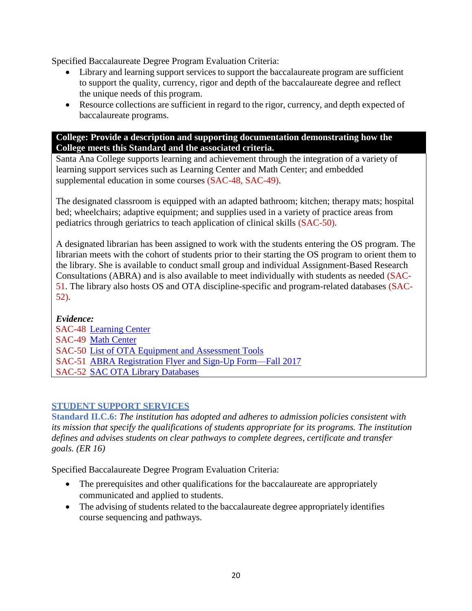Specified Baccalaureate Degree Program Evaluation Criteria:

- Library and learning support services to support the baccalaureate program are sufficient to support the quality, currency, rigor and depth of the baccalaureate degree and reflect the unique needs of this program.
- Resource collections are sufficient in regard to the rigor, currency, and depth expected of baccalaureate programs.

#### **College: Provide a description and supporting documentation demonstrating how the College meets this Standard and the associated criteria.**

Santa Ana College supports learning and achievement through the integration of a variety of learning support services such as Learning Center and Math Center; and embedded supplemental education in some courses (SAC-48, SAC-49).

The designated classroom is equipped with an adapted bathroom; kitchen; therapy mats; hospital bed; wheelchairs; adaptive equipment; and supplies used in a variety of practice areas from pediatrics through geriatrics to teach application of clinical skills (SAC-50).

A designated librarian has been assigned to work with the students entering the OS program. The librarian meets with the cohort of students prior to their starting the OS program to orient them to the library. She is available to conduct small group and individual Assignment-Based Research Consultations (ABRA) and is also available to meet individually with students as needed (SAC-51. The library also hosts OS and OTA discipline-specific and program-related databases (SAC-52).

#### *Evidence:*

SAC-48 [Learning Center](https://www.sac.edu/AcademicProgs/HSS/LearningCenter/Pages/default.aspx) SAC-49 [Math Center](https://www.sac.edu/AcademicProgs/ScienceMathHealth/MathCenter/Pages/default.aspx) SAC-50 [List of OTA Equipment and Assessment Tools](https://www.sac.edu/AcademicProgs/HST/OTA/os/Documents/Accreditation/ACCJC/List%20of%20OTA%20Equipment%20and%20Assessment%20Tools.pdf) SAC-51 [ABRA Registration Flyer and Sign-Up Form—Fall 2017](https://www.sac.edu/AcademicProgs/HST/OTA/os/Documents/Accreditation/ACCJC/ABRA%20Registration%20Flyer%20and%20Form%20--%20Fall%202017.pdf) SAC-52 [SAC OTA Library Databases](https://www.sac.edu/AcademicProgs/HST/OTA/os/Documents/Accreditation/ACCJC/SAC%20OTA%20Library%20Databases%20Fall%202014.pdf)

#### **STUDENT SUPPORT SERVICES**

**Standard II.C.6:** *The institution has adopted and adheres to admission policies consistent with its mission that specify the qualifications of students appropriate for its programs. The institution defines and advises students on clear pathways to complete degrees, certificate and transfer goals. (ER 16)*

Specified Baccalaureate Degree Program Evaluation Criteria:

- The prerequisites and other qualifications for the baccalaureate are appropriately communicated and applied to students.
- The advising of students related to the baccalaureate degree appropriately identifies course sequencing and pathways.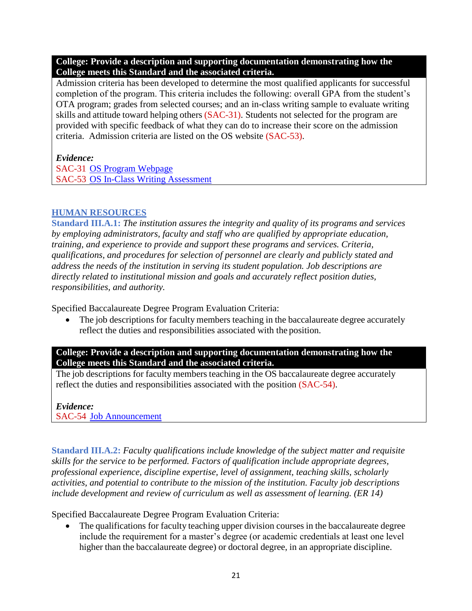Admission criteria has been developed to determine the most qualified applicants for successful completion of the program. This criteria includes the following: overall GPA from the student's OTA program; grades from selected courses; and an in-class writing sample to evaluate writing skills and attitude toward helping others (SAC-31). Students not selected for the program are provided with specific feedback of what they can do to increase their score on the admission criteria. Admission criteria are listed on the OS website (SAC-53).

#### *Evidence:*

SAC-31 [OS Program Webpage](https://www.sac.edu/AcademicProgs/HST/OTA/os/Pages/default.aspx) SAC-53 [OS In-Class Writing Assessment](https://www.sac.edu/AcademicProgs/HST/OTA/os/Documents/Accreditation/ACCJC/OS%20in%20class%20writing%20sample.pdf)

#### **HUMAN RESOURCES**

**Standard III.A.1:** *The institution assures the integrity and quality of its programs and services by employing administrators, faculty and staff who are qualified by appropriate education, training, and experience to provide and support these programs and services. Criteria, qualifications, and procedures for selection of personnel are clearly and publicly stated and address the needs of the institution in serving its student population. Job descriptions are directly related to institutional mission and goals and accurately reflect position duties, responsibilities, and authority.*

Specified Baccalaureate Degree Program Evaluation Criteria:

The job descriptions for faculty members teaching in the baccalaureate degree accurately reflect the duties and responsibilities associated with the position.

**College: Provide a description and supporting documentation demonstrating how the College meets this Standard and the associated criteria.**

The job descriptions for faculty members teaching in the OS baccalaureate degree accurately reflect the duties and responsibilities associated with the position (SAC-54).

*Evidence:* SAC-54 [Job Announcement](https://www.sac.edu/AcademicProgs/HST/OTA/os/Documents/Accreditation/ACCJC/Job%20Announcement%20-%20Assistant%20Professor%20of%20Occupational%20Therapy%20Assistant%20Program.pdf)

**Standard III.A.2:** *Faculty qualifications include knowledge of the subject matter and requisite skills for the service to be performed. Factors of qualification include appropriate degrees, professional experience, discipline expertise, level of assignment, teaching skills, scholarly activities, and potential to contribute to the mission of the institution. Faculty job descriptions include development and review of curriculum as well as assessment of learning. (ER 14)*

Specified Baccalaureate Degree Program Evaluation Criteria:

• The qualifications for faculty teaching upper division courses in the baccalaureate degree include the requirement for a master's degree (or academic credentials at least one level higher than the baccalaureate degree) or doctoral degree, in an appropriate discipline.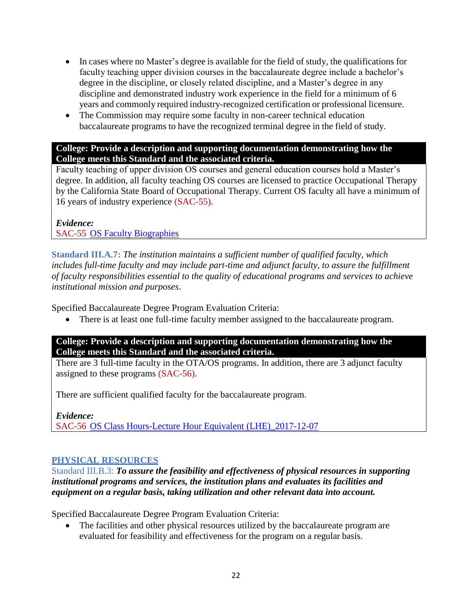- In cases where no Master's degree is available for the field of study, the qualifications for faculty teaching upper division courses in the baccalaureate degree include a bachelor's degree in the discipline, or closely related discipline, and a Master's degree in any discipline and demonstrated industry work experience in the field for a minimum of 6 years and commonly required industry-recognized certification or professional licensure.
- The Commission may require some faculty in non-career technical education baccalaureate programs to have the recognized terminal degree in the field of study.

Faculty teaching of upper division OS courses and general education courses hold a Master's degree. In addition, all faculty teaching OS courses are licensed to practice Occupational Therapy by the California State Board of Occupational Therapy. Current OS faculty all have a minimum of 16 years of industry experience (SAC-55).

#### *Evidence:* SAC-55 OS Faculty [Biographies](https://www.sac.edu/AcademicProgs/HST/OTA/os/Documents/Accreditation/ACCJC/OS%20Faculty%20Biographies.pdf)

**Standard III.A.7:** *The institution maintains a sufficient number of qualified faculty, which*  includes full-time faculty and may include part-time and adjunct faculty, to assure the fulfillment *of faculty responsibilities essential to the quality of educational programs and services to achieve institutional mission and purposes*.

Specified Baccalaureate Degree Program Evaluation Criteria:

There is at least one full-time faculty member assigned to the baccalaureate program.

#### **College: Provide a description and supporting documentation demonstrating how the College meets this Standard and the associated criteria.**

There are 3 full-time faculty in the OTA/OS programs. In addition, there are 3 adjunct faculty assigned to these programs (SAC-56).

There are sufficient qualified faculty for the baccalaureate program.

*Evidence:*

SAC-56 [OS Class Hours-Lecture Hour Equivalent \(LHE\)\\_2017-12-07](https://www.sac.edu/AcademicProgs/HST/OTA/os/Documents/Accreditation/ACCJC/OS%20Class%20Hours-LHE_2017-12-07.pdf)

#### **PHYSICAL RESOURCES**

Standard III.B.3: *To assure the feasibility and effectiveness of physical resources in supporting institutional programs and services, the institution plans and evaluates its facilities and equipment on a regular basis, taking utilization and other relevant data into account.*

Specified Baccalaureate Degree Program Evaluation Criteria:

 The facilities and other physical resources utilized by the baccalaureate program are evaluated for feasibility and effectiveness for the program on a regular basis.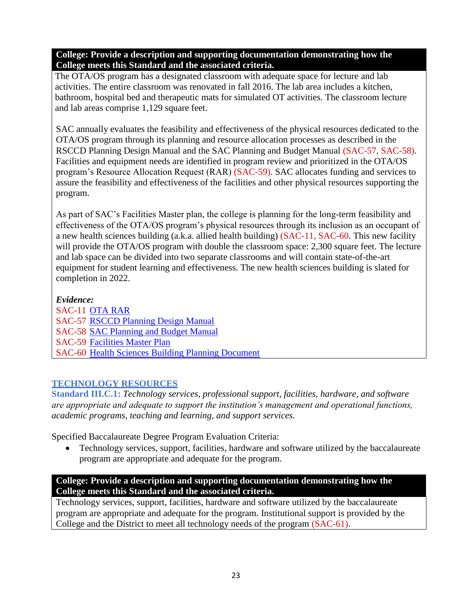The OTA/OS program has a designated classroom with adequate space for lecture and lab activities. The entire classroom was renovated in fall 2016. The lab area includes a kitchen, bathroom, hospital bed and therapeutic mats for simulated OT activities. The classroom lecture and lab areas comprise 1,129 square feet.

SAC annually evaluates the feasibility and effectiveness of the physical resources dedicated to the OTA/OS program through its planning and resource allocation processes as described in the RSCCD Planning Design Manual and the SAC Planning and Budget Manual (SAC-57, SAC-58). Facilities and equipment needs are identified in program review and prioritized in the OTA/OS program's Resource Allocation Request (RAR) (SAC-59). SAC allocates funding and services to assure the feasibility and effectiveness of the facilities and other physical resources supporting the program.

As part of SAC's Facilities Master plan, the college is planning for the long-term feasibility and effectiveness of the OTA/OS program's physical resources through its inclusion as an occupant of a new health sciences building (a.k.a. allied health building) (SAC-11, SAC-60. This new facility will provide the OTA/OS program with double the classroom space: 2,300 square feet. The lecture and lab space can be divided into two separate classrooms and will contain state-of-the-art equipment for student learning and effectiveness. The new health sciences building is slated for completion in 2022.

*Evidence:* SAC-11 [OTA RAR](https://www.sac.edu/AcademicProgs/HST/OTA/os/Documents/Accreditation/ACCJC/OTA_%20RAR%20Form_2018-2019_2017-11-15.pdf) SAC-57 [RSCCD Planning Design Manual](https://www.rsccd.edu/Departments/Human-Resources/POE-Committee/Documents/RSCCD-Planning-Design-Manual%202013.pdf#search=planning%20design%20manual%202017) SAC-58 [SAC Planning and Budget Manual](https://www.sac.edu/AdminServices/Documents/SAC%20Planning%20Budget%20Manual%20FY%2016-17-1.pdf) SAC-59 [Facilities Master Plan](https://www.sac.edu/Accreditation/Documents/Follow%20Up%20Report%20Documents%202015/Facilities%20Master%20Plan%202011.pdf#search=facilities%20master%20plan) SAC-60 [Health Sciences Building Planning Document](https://www.sac.edu/AcademicProgs/HST/OTA/os/Documents/Accreditation/ACCJC/Health%20Sciences%20Building%20Planning%20Document.pdf)

#### **TECHNOLOGY RESOURCES**

**Standard III.C.1:** *Technology services, professional support, facilities, hardware, and software are appropriate and adequate to support the institution's management and operational functions, academic programs, teaching and learning, and support services.*

Specified Baccalaureate Degree Program Evaluation Criteria:

• Technology services, support, facilities, hardware and software utilized by the baccalaureate program are appropriate and adequate for the program.

**College: Provide a description and supporting documentation demonstrating how the College meets this Standard and the associated criteria.**

Technology services, support, facilities, hardware and software utilized by the baccalaureate program are appropriate and adequate for the program. Institutional support is provided by the College and the District to meet all technology needs of the program (SAC-61).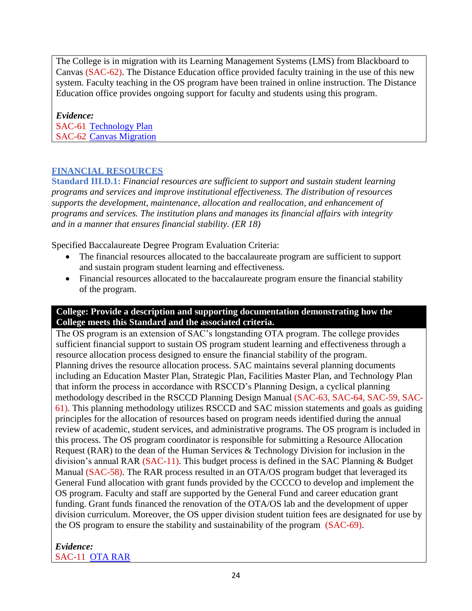The College is in migration with its Learning Management Systems (LMS) from Blackboard to Canvas (SAC-62). The Distance Education office provided faculty training in the use of this new system. Faculty teaching in the OS program have been trained in online instruction. The Distance Education office provides ongoing support for faculty and students using this program.

*Evidence:* SAC-61 [Technology Plan](https://www.sac.edu/committees/IEA/Documents/Collection/pdf/TechPlan_2007-2012.pdf#search=technology%20master%20plan) SAC-62 [Canvas Migration](https://www.sac.edu/AcademicAffairs/DistanceEd/Pages/Canvas-Migration.aspx)

#### **FINANCIAL RESOURCES**

**Standard III.D.1:** *Financial resources are sufficient to support and sustain student learning programs and services and improve institutional effectiveness. The distribution of resources supports the development, maintenance, allocation and reallocation, and enhancement of programs and services. The institution plans and manages its financial affairs with integrity and in a manner that ensures financial stability. (ER 18)*

Specified Baccalaureate Degree Program Evaluation Criteria:

- The financial resources allocated to the baccalaureate program are sufficient to support and sustain program student learning and effectiveness.
- Financial resources allocated to the baccalaureate program ensure the financial stability of the program.

#### **College: Provide a description and supporting documentation demonstrating how the College meets this Standard and the associated criteria.**

The OS program is an extension of SAC's longstanding OTA program. The college provides sufficient financial support to sustain OS program student learning and effectiveness through a resource allocation process designed to ensure the financial stability of the program. Planning drives the resource allocation process. SAC maintains several planning documents including an Education Master Plan, Strategic Plan, Facilities Master Plan, and Technology Plan that inform the process in accordance with RSCCD's Planning Design, a cyclical planning methodology described in the RSCCD Planning Design Manual (SAC-63, SAC-64, SAC-59, SAC-61). This planning methodology utilizes RSCCD and SAC mission statements and goals as guiding principles for the allocation of resources based on program needs identified during the annual review of academic, student services, and administrative programs. The OS program is included in this process. The OS program coordinator is responsible for submitting a Resource Allocation Request (RAR) to the dean of the Human Services & Technology Division for inclusion in the division's annual RAR (SAC-11). This budget process is defined in the SAC Planning & Budget Manual (SAC-58). The RAR process resulted in an OTA/OS program budget that leveraged its General Fund allocation with grant funds provided by the CCCCO to develop and implement the OS program. Faculty and staff are supported by the General Fund and career education grant funding. Grant funds financed the renovation of the OTA/OS lab and the development of upper division curriculum. Moreover, the OS upper division student tuition fees are designated for use by the OS program to ensure the stability and sustainability of the program (SAC-69).

*Evidence:* SAC-11 [OTA RAR](https://www.sac.edu/AcademicProgs/HST/OTA/os/Documents/Accreditation/ACCJC/OTA_%20RAR%20Form_2018-2019_2017-11-15.pdf)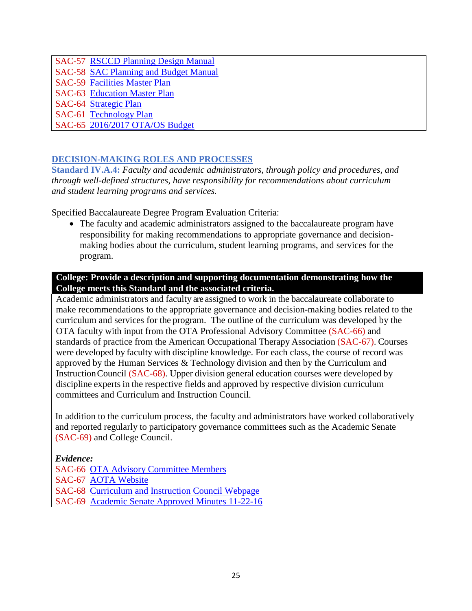SAC-57 [RSCCD Planning Design Manual](https://www.rsccd.edu/Departments/Human-Resources/POE-Committee/Documents/RSCCD-Planning-Design-Manual%202013.pdf#search=planning%20design%20manual%202017) SAC-58 [SAC Planning and Budget Manual](https://www.sac.edu/AdminServices/Documents/SAC%20Planning%20Budget%20Manual%20FY%2016-17-1.pdf) SAC-59 [Facilities Master Plan](https://www.sac.edu/Accreditation/Documents/Follow%20Up%20Report%20Documents%202015/Facilities%20Master%20Plan%202011.pdf#search=facilities%20master%20plan) SAC-63 [Education Master Plan](https://www.sac.edu/committees/IEA/Documents/Collection/SAC_EMP.pdf) SAC-64 [Strategic Plan](https://www.sac.edu/committees/IEA/Documents/Collection/ABStrategicPlan6-03-08.pdf) SAC-61 [Technology Plan](https://www.sac.edu/committees/IEA/Documents/Collection/pdf/TechPlan_2007-2012.pdf#search=technology%20master%20plan) SAC-65 [2016/2017 OTA/OS Budget](https://sac.edu/AcademicProgs/HST/OTA/os/Documents/Accreditation/ACCJC/2016-2017%20OTA-OS%20Budget_2017-12-01.pdf)

#### **DECISION-MAKING ROLES AND PROCESSES**

**Standard IV.A.4:** *Faculty and academic administrators, through policy and procedures, and through well-defined structures, have responsibility for recommendations about curriculum and student learning programs and services.*

Specified Baccalaureate Degree Program Evaluation Criteria:

 The faculty and academic administrators assigned to the baccalaureate program have responsibility for making recommendations to appropriate governance and decisionmaking bodies about the curriculum, student learning programs, and services for the program.

#### **College: Provide a description and supporting documentation demonstrating how the College meets this Standard and the associated criteria.**

Academic administrators and faculty are assigned to work in the baccalaureate collaborate to make recommendations to the appropriate governance and decision-making bodies related to the curriculum and services for the program. The outline of the curriculum was developed by the OTA faculty with input from the OTA Professional Advisory Committee (SAC-66) and standards of practice from the American Occupational Therapy Association (SAC-67). Courses were developed by faculty with discipline knowledge. For each class, the course of record was approved by the Human Services & Technology division and then by the Curriculum and InstructionCouncil (SAC-68). Upper division general education courses were developed by discipline experts in the respective fields and approved by respective division curriculum committees and Curriculum and Instruction Council.

In addition to the curriculum process, the faculty and administrators have worked collaboratively and reported regularly to participatory governance committees such as the Academic Senate (SAC-69) and College Council.

#### *Evidence:*

SAC-66 [OTA Advisory Committee Members](https://www.sac.edu/AcademicProgs/HST/OTA/os/Documents/Accreditation/ACCJC/OTA%20Advisory%20Committee%20Members.pdf) SAC-67 [AOTA Website](https://www.aota.org/) SAC-68 [Curriculum and Instruction Council Webpage](https://www.sac.edu/committees/curriculum/Pages/default.aspx) SAC-69 [Academic Senate Approved Minutes 11-22-16](https://www.sac.edu/AcademicProgs/HST/OTA/os/Documents/Accreditation/ACCJC/AS%20Approved%20Minutes%2011-22-2016.pdf)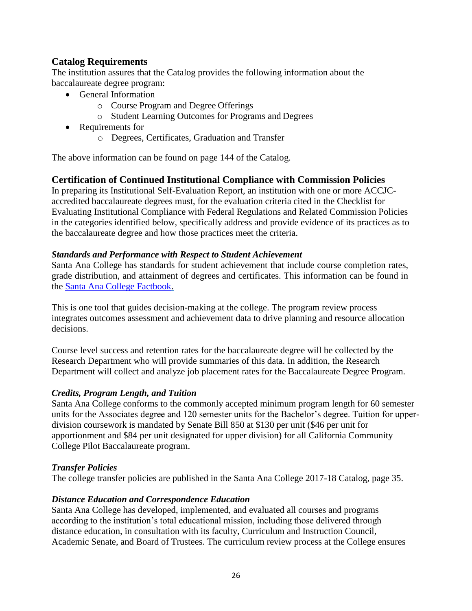#### **Catalog Requirements**

The institution assures that the Catalog provides the following information about the baccalaureate degree program:

- General Information
	- o Course Program and Degree Offerings
	- o Student Learning Outcomes for Programs and Degrees
- Requirements for
	- o Degrees, Certificates, Graduation and Transfer

The above information can be found on page 144 of the Catalog.

#### **Certification of Continued Institutional Compliance with Commission Policies**

In preparing its Institutional Self-Evaluation Report, an institution with one or more ACCJCaccredited baccalaureate degrees must, for the evaluation criteria cited in the Checklist for Evaluating Institutional Compliance with Federal Regulations and Related Commission Policies in the categories identified below, specifically address and provide evidence of its practices as to the baccalaureate degree and how those practices meet the criteria.

#### *Standards and Performance with Respect to Student Achievement*

Santa Ana College has standards for student achievement that include course completion rates, grade distribution, and attainment of degrees and certificates. This information can be found in the [Santa Ana College Factbook.](https://www.sac.edu/AcademicProgs/HST/OTA/os/Documents/Accreditation/ACCJC/Santa%20Ana%20College%20Factbook.pdf)

This is one tool that guides decision-making at the college. The program review process integrates outcomes assessment and achievement data to drive planning and resource allocation decisions.

Course level success and retention rates for the baccalaureate degree will be collected by the Research Department who will provide summaries of this data. In addition, the Research Department will collect and analyze job placement rates for the Baccalaureate Degree Program.

#### *Credits, Program Length, and Tuition*

Santa Ana College conforms to the commonly accepted minimum program length for 60 semester units for the Associates degree and 120 semester units for the Bachelor's degree. Tuition for upperdivision coursework is mandated by Senate Bill 850 at \$130 per unit (\$46 per unit for apportionment and \$84 per unit designated for upper division) for all California Community College Pilot Baccalaureate program.

#### *Transfer Policies*

The college transfer policies are published in the Santa Ana College 2017-18 Catalog, page 35.

#### *Distance Education and Correspondence Education*

Santa Ana College has developed, implemented, and evaluated all courses and programs according to the institution's total educational mission, including those delivered through distance education, in consultation with its faculty, Curriculum and Instruction Council, Academic Senate, and Board of Trustees. The curriculum review process at the College ensures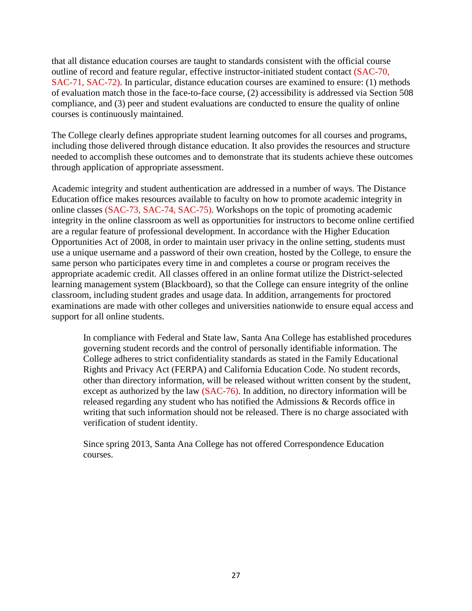that all distance education courses are taught to standards consistent with the official course outline of record and feature regular, effective instructor-initiated student contact (SAC-70, SAC-71, SAC-72). In particular, distance education courses are examined to ensure: (1) methods of evaluation match those in the face-to-face course, (2) accessibility is addressed via Section 508 compliance, and (3) peer and student evaluations are conducted to ensure the quality of online courses is continuously maintained.

The College clearly defines appropriate student learning outcomes for all courses and programs, including those delivered through distance education. It also provides the resources and structure needed to accomplish these outcomes and to demonstrate that its students achieve these outcomes through application of appropriate assessment.

Academic integrity and student authentication are addressed in a number of ways. The Distance Education office makes resources available to faculty on how to promote academic integrity in online classes (SAC-73, SAC-74, SAC-75). Workshops on the topic of promoting academic integrity in the online classroom as well as opportunities for instructors to become online certified are a regular feature of professional development. In accordance with the Higher Education Opportunities Act of 2008, in order to maintain user privacy in the online setting, students must use a unique username and a password of their own creation, hosted by the College, to ensure the same person who participates every time in and completes a course or program receives the appropriate academic credit. All classes offered in an online format utilize the District-selected learning management system (Blackboard), so that the College can ensure integrity of the online classroom, including student grades and usage data. In addition, arrangements for proctored examinations are made with other colleges and universities nationwide to ensure equal access and support for all online students.

In compliance with Federal and State law, Santa Ana College has established procedures governing student records and the control of personally identifiable information. The College adheres to strict confidentiality standards as stated in the Family Educational Rights and Privacy Act (FERPA) and California Education Code. No student records, other than directory information, will be released without written consent by the student, except as authorized by the law (SAC-76). In addition, no directory information will be released regarding any student who has notified the Admissions & Records office in writing that such information should not be released. There is no charge associated with verification of student identity.

Since spring 2013, Santa Ana College has not offered Correspondence Education courses.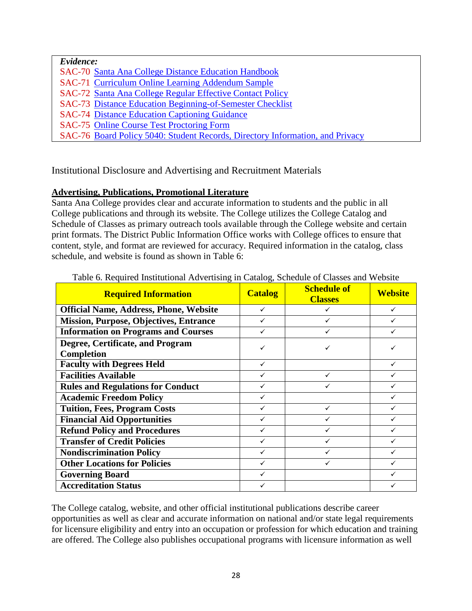*Evidence:* SAC-70 [Santa Ana College Distance Education Handbook](http://www.sac.edu/AcademicAffairs/DistanceEd/Documents/Faculty%20Resources/DEFacultyHandbook2013-approved-5-28-14.pdf) SAC-71 [Curriculum Online Learning Addendum Sample](http://www.sac.edu/AcademicAffairs/DistanceEd/Documents/Faculty%20Resources/OnlineLearningAddendumFormSAMPLE.pdf) SAC-72 [Santa Ana College Regular Effective Contact Policy](http://www.sac.edu/AcademicAffairs/DistanceEd/Documents/Faculty%20Resources/RegularEffectiveContactPolicy(4-8-13).pdf) SAC-73 [Distance Education Beginning-of-Semester Checklist](http://www.sac.edu/AcademicAffairs/DistanceEd/Documents/Faculty%20Resources/BeginningOfSemesterChecklist.pdf) SAC-74 [Distance Education Captioning Guidance](http://www.sac.edu/AcademicAffairs/DistanceEd/Documents/Faculty%20Resources/CaptioningGuidance.pdf) SAC-75 [Online Course Test Proctoring Form](https://www.sac.edu/AcademicProgs/HST/OTA/os/Documents/Accreditation/ACCJC/Online%20Course%20Test%20Proctoring%20Form.pdf) SAC-76 [Board Policy 5040: Student Records, Directory Information, and Privacy](http://www.rsccd.edu/Trustees/Pages/BP-5040.aspx)

Institutional Disclosure and Advertising and Recruitment Materials

#### **Advertising, Publications, Promotional Literature**

Santa Ana College provides clear and accurate information to students and the public in all College publications and through its website. The College utilizes the College Catalog and Schedule of Classes as primary outreach tools available through the College website and certain print formats. The District Public Information Office works with College offices to ensure that content, style, and format are reviewed for accuracy. Required information in the catalog, class schedule, and website is found as shown in Table 6:

| <b>Required Information</b>                           | <b>Catalog</b> | <b>Schedule of</b><br><b>Classes</b> | <b>Website</b> |
|-------------------------------------------------------|----------------|--------------------------------------|----------------|
| <b>Official Name, Address, Phone, Website</b>         | ✓              |                                      | ✓              |
| <b>Mission, Purpose, Objectives, Entrance</b>         |                | ✓                                    |                |
| <b>Information on Programs and Courses</b>            |                | ✓                                    |                |
| Degree, Certificate, and Program<br><b>Completion</b> | ✓              | ✓                                    |                |
| <b>Faculty with Degrees Held</b>                      | $\checkmark$   |                                      | ✓              |
| <b>Facilities Available</b>                           |                | $\checkmark$                         |                |
| <b>Rules and Regulations for Conduct</b>              |                |                                      |                |
| <b>Academic Freedom Policy</b>                        | ✓              |                                      |                |
| <b>Tuition, Fees, Program Costs</b>                   | ✓              | ✓                                    |                |
| <b>Financial Aid Opportunities</b>                    |                | ✓                                    |                |
| <b>Refund Policy and Procedures</b>                   |                | ✓                                    |                |
| <b>Transfer of Credit Policies</b>                    | ✓              | ✓                                    |                |
| <b>Nondiscrimination Policy</b>                       | ✓              | ✓                                    |                |
| <b>Other Locations for Policies</b>                   | ✓              | ✓                                    |                |
| <b>Governing Board</b>                                |                |                                      |                |
| <b>Accreditation Status</b>                           |                |                                      |                |

Table 6. Required Institutional Advertising in Catalog, Schedule of Classes and Website

The College catalog, website, and other official institutional publications describe career opportunities as well as clear and accurate information on national and/or state legal requirements for licensure eligibility and entry into an occupation or profession for which education and training are offered. The College also publishes occupational programs with licensure information as well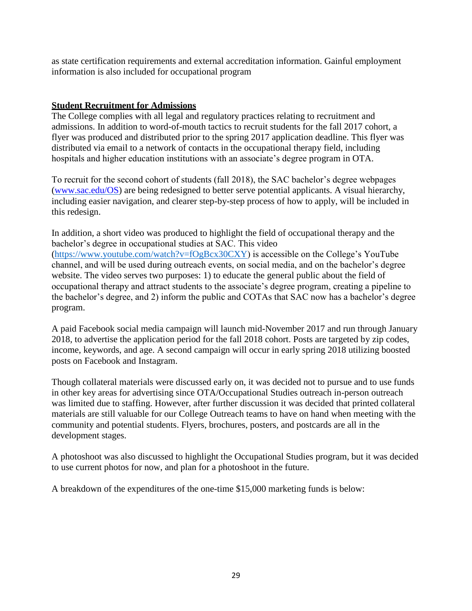as state certification requirements and external accreditation information. Gainful employment information is also included for occupational program

#### **Student Recruitment for Admissions**

The College complies with all legal and regulatory practices relating to recruitment and admissions. In addition to word-of-mouth tactics to recruit students for the fall 2017 cohort, a flyer was produced and distributed prior to the spring 2017 application deadline. This flyer was distributed via email to a network of contacts in the occupational therapy field, including hospitals and higher education institutions with an associate's degree program in OTA.

To recruit for the second cohort of students (fall 2018), the SAC bachelor's degree webpages [\(www.sac.edu/OS\)](http://www.sac.edu/OS) are being redesigned to better serve potential applicants. A visual hierarchy, including easier navigation, and clearer step-by-step process of how to apply, will be included in this redesign.

In addition, a short video was produced to highlight the field of occupational therapy and the bachelor's degree in occupational studies at SAC. This video [\(https://www.youtube.com/watch?v=fOgBcx30CXY\)](https://www.youtube.com/watch?v=fOgBcx30CXY) is accessible on the College's YouTube channel, and will be used during outreach events, on social media, and on the bachelor's degree website. The video serves two purposes: 1) to educate the general public about the field of occupational therapy and attract students to the associate's degree program, creating a pipeline to the bachelor's degree, and 2) inform the public and COTAs that SAC now has a bachelor's degree program.

A paid Facebook social media campaign will launch mid-November 2017 and run through January 2018, to advertise the application period for the fall 2018 cohort. Posts are targeted by zip codes, income, keywords, and age. A second campaign will occur in early spring 2018 utilizing boosted posts on Facebook and Instagram.

Though collateral materials were discussed early on, it was decided not to pursue and to use funds in other key areas for advertising since OTA/Occupational Studies outreach in-person outreach was limited due to staffing. However, after further discussion it was decided that printed collateral materials are still valuable for our College Outreach teams to have on hand when meeting with the community and potential students. Flyers, brochures, posters, and postcards are all in the development stages.

A photoshoot was also discussed to highlight the Occupational Studies program, but it was decided to use current photos for now, and plan for a photoshoot in the future.

A breakdown of the expenditures of the one-time \$15,000 marketing funds is below: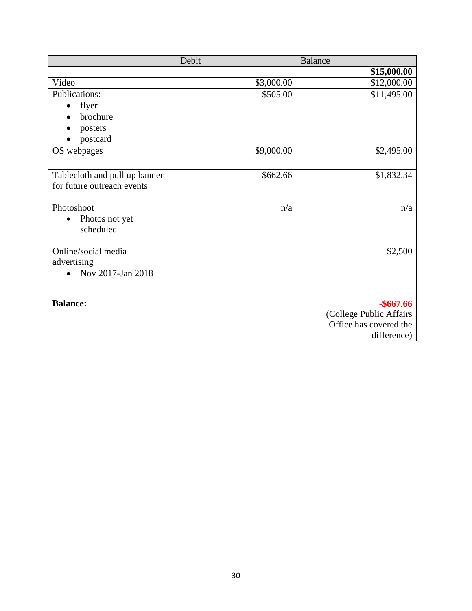|                               | Debit      | <b>Balance</b>          |
|-------------------------------|------------|-------------------------|
|                               |            | \$15,000.00             |
| Video                         | \$3,000.00 | \$12,000.00             |
| <b>Publications:</b>          | \$505.00   | \$11,495.00             |
| flyer<br>$\bullet$            |            |                         |
| brochure                      |            |                         |
| posters                       |            |                         |
| postcard                      |            |                         |
| OS webpages                   | \$9,000.00 | \$2,495.00              |
|                               |            |                         |
| Tablecloth and pull up banner | \$662.66   | \$1,832.34              |
| for future outreach events    |            |                         |
|                               |            |                         |
| Photoshoot                    | n/a        | n/a                     |
| Photos not yet<br>$\bullet$   |            |                         |
| scheduled                     |            |                         |
|                               |            |                         |
| Online/social media           |            | \$2,500                 |
| advertising                   |            |                         |
| Nov 2017-Jan 2018             |            |                         |
|                               |            |                         |
| <b>Balance:</b>               |            | $-$ \$667.66            |
|                               |            | (College Public Affairs |
|                               |            | Office has covered the  |
|                               |            | difference)             |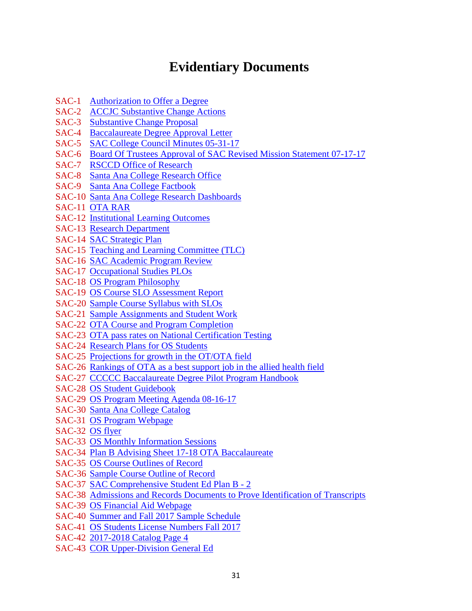# **Evidentiary Documents**

- SAC-1 [Authorization to Offer a Degree](http://www.sac.edu/CatalogAndSchedule/Documents/2016-2017/Catalog_16-17_07-13-2016.pdf)
- SAC-2 [ACCJC Substantive Change Actions](https://www.sac.edu/Accreditation/2014SelfEval/ACCJC%20Reports%20%20Correspondence/ACCJC_Substantive_Change_Actions_on_Institutions_May_2015.pdf)
- SAC-3 [Substantive Change Proposal](https://www.sac.edu/AcademicProgs/HST/OTA/os/Documents/Accreditation/ACCJC/Substantive%20Change%20Proposal-BS%20Pilot%20Occupational%20Studies%20FINAL.pdf)
- SAC-4 [Baccalaureate Degree Approval Letter](https://www.sac.edu/AcademicProgs/HST/OTA/os/Documents/Accreditation/ACCJC/CCCO%20Approval%20letter.pdf)
- SAC-5 [SAC College Council Minutes 05-31-17](https://www.sac.edu/President/collegecouncil/Documents/2017/05%2031%2017%20(Approved).pdf)
- SAC-6 [Board Of Trustees Approval of SAC Revised Mission Statement 07-17-17](https://www.sac.edu/AcademicProgs/HST/OTA/os/Documents/Accreditation/ACCJC/BOT%20Approval%20of%20SAC%20Revised%20Mission%20Statement_2017-07-17.pdf)
- SAC-7 [RSCCD Office of Research](https://rsccd.edu/Departments/Research/Pages/Reports-Directory.aspx)
- SAC-8 [Santa Ana College Research Office](http://www.sac.edu/research/Pages/default.aspx)
- SAC-9 [Santa Ana College Factbook](https://www.sac.edu/AcademicProgs/HST/OTA/os/Documents/Accreditation/ACCJC/Santa%20Ana%20College%20Factbook.pdf)
- SAC-10 [Santa Ana College Research Dashboards](https://www.sac.edu/research/Pages/Tableau-Research-Pages.aspx)
- SAC-11 [OTA RAR](https://www.sac.edu/AcademicProgs/HST/OTA/os/Documents/Accreditation/ACCJC/OTA_%20RAR%20Form_2018-2019_2017-11-15.pdf)
- SAC-12 [Institutional Learning Outcomes](https://www.sac.edu/Program_Review/Documents/Institutional_%20Learning_Outcomes_How_To_from_TLC%2009-15-14.pdf)
- SAC-13 [Research Department](https://www.sac.edu/AcademicAffairs/InstitutionalResearch/Pages/Reports-Directory.aspx)
- SAC-14 [SAC Strategic Plan](https://www.sac.edu/AcademicAffairs/IEA_Office/Documents/2014-2016%20Strategic%20Plan%20Update_approved9102014.pdf)
- SAC-15 [Teaching and Learning Committee \(TLC\)](https://sac.edu/committees/TLC/Pages/default.aspx)
- SAC-16 [SAC Academic Program Review](http://www.sac.edu/Program_Review/HST/OTA/Annual%20Planning%20Portfolio%20and%20Quadrennial%2019QT%20Cap/Quadrennial%20Capstone%20%20Report%20OTA%202016.pdf)
- SAC-17 Occupational [Studies PLOs](https://www.sac.edu/AcademicProgs/HST/OTA/os/Documents/Accreditation/ACCJC/Occupational%20Studies%20PLOs.pdf)
- SAC-18 [OS Program Philosophy](https://www.sac.edu/AcademicProgs/HST/OTA/os/Documents/Accreditation/ACCJC/OS%20Program%20Philosophy.pdf)
- SAC-19 [OS Course SLO Assessment Report](https://www.sac.edu/AcademicProgs/HST/OTA/os/Documents/Accreditation/ACCJC/OS%20Course%20SLO%20Asssessment%20Report.pdf)
- SAC-20 [Sample Course Syllabus with SLOs](https://www.sac.edu/AcademicProgs/HST/OTA/os/Documents/Accreditation/ACCJC/OS%20304%20Syllabus%202017.pdf)
- SAC-21 [Sample Assignments and Student Work](https://www.sac.edu/AcademicProgs/HST/OTA/os/Documents/Accreditation/ACCJC/Assignment.1.pdf)
- SAC-22 [OTA Course and Program Completion](https://www.sac.edu/AcademicProgs/HST/OTA/os/Documents/Accreditation/ACCJC/OTA%20Course%20and%20Program%20Completion.pdf)
- SAC-23 [OTA pass rates on National Certification Testing](https://sac.edu/AcademicProgs/HST/OTA/Pages/NBCOT-Certification-Results.aspx)
- SAC-24 [Research Plans for OS Students](https://www.sac.edu/AcademicProgs/HST/OTA/os/Documents/Accreditation/ACCJC/OTA%20Baccalaureate%20Degree%20Program%20-%20Research%20Office%20Plan.pdf)
- SAC-25 [Projections for growth in the OT/OTA field](https://sac.edu/AcademicProgs/HST/OTA/Documents/Resources%20for%20Students.pdf)
- SAC-26 [Rankings of OTA as a best support](https://money.usnews.com/careers/best-jobs/occupational-therapy-assistant) job in the allied health field
- SAC-27 [CCCCC Baccalaureate Degree Pilot Program Handbook](http://extranet.cccco.edu/Portals/1/ExecutiveOffice/Board/2016_agendas/March/Attachment-2.7-Final-BA-Degree-Handbook.pdf)
- SAC-28 [OS Student Guidebook](https://www.sac.edu/AcademicProgs/HST/OTA/os/Documents/Accreditation/ACCJC/OS%20Guidebook_w%20Contents%20Page_2017-08-11_vw%20w%20Org%20Chart.pdf)
- SAC-29 [OS Program Meeting Agenda 08-16-17](https://www.sac.edu/AcademicProgs/HST/OTA/os/Documents/Accreditation/ACCJC/OS%20Program%20Meeting%20Agenda%2008-16-17.pdf)
- SAC-30 [Santa Ana College Catalog](https://sac.edu/CatalogAndSchedule/Documents/2017-2018/Catalog_17-18.pdf)
- SAC-31 [OS Program Webpage](https://www.sac.edu/AcademicProgs/HST/OTA/os/Pages/default.aspx)
- SAC-32 [OS flyer](https://www.sac.edu/AcademicProgs/HST/OTA/os/Documents/Accreditation/ACCJC/OTA_Flyer_c2-1.pdf)
- SAC-33 [OS Monthly Information Sessions](https://www.sac.edu/AcademicProgs/HST/OTA/Pages/Information-Sessions.aspx)
- SAC-34 [Plan B Advising Sheet 17-18 OTA Baccalaureate](https://www.sac.edu/AcademicProgs/HST/OTA/os/Documents/Accreditation/ACCJC/Plan%20B%20Advising%20Sheet%2017-18%20OTA%20Baccalaureate%20Word%20draft%20072017%20(002).pdf)
- SAC-35 [OS Course Outlines of Record](https://www.sac.edu/AcademicProgs/HST/OTA/os/Documents/Accreditation/ACCJC/Baccalaureate%20Program%20Individual%20CORs.pdf)
- SAC-36 [Sample Course Outline of Record](https://www.sac.edu/AcademicProgs/HST/OTA/os/Documents/Accreditation/ACCJC/Course%20Outline%20of%20Record.pdf)
- SAC-37 [SAC Comprehensive Student Ed Plan B -](https://www.sac.edu/AcademicProgs/HST/OTA/os/Documents/Accreditation/ACCJC/SAC%20Comprehensive%20Student%20Ed%20Plan%20B%20-%202.pdf) 2
- SAC-38 Admissions and Records [Documents to Prove Identification of Transcripts](https://www.sac.edu/AcademicProgs/HST/OTA/os/Documents/Accreditation/ACCJC/Admissions%20and%20Records%20Document%20to%20Prove%20Identification%20of%20Transcripts.pdf)
- SAC-39 [OS Financial Aid Webpage](https://www.sac.edu/StudentServices/FinancialAid/Pages/FA-FOR-BACHELOR)
- SAC-40 [Summer and Fall 2017 Sample Schedule](https://www.sac.edu/AcademicProgs/HST/OTA/os/Documents/Accreditation/ACCJC/Summer%20and%20Fall%202017%20Sample%20Schedule.pdf)
- SAC-41 [OS Students License Numbers Fall 2017](https://www.sac.edu/AcademicProgs/HST/OTA/os/Documents/Accreditation/ACCJC/Occupational%20Studies%20Students%20License%20Numbers%20Fall%202017.pdf)
- SAC-42 [2017-2018 Catalog Page 4](https://www.sac.edu/AcademicProgs/HST/OTA/os/Documents/Accreditation/ACCJC/2017-2018%20SAC%20Catalog%20Page%204.pdf)
- SAC-43 [COR Upper-Division General Ed](https://www.sac.edu/AcademicProgs/HST/OTA/os/Documents/Accreditation/ACCJC/COR%20Upper%20Division%20General%20Education.pdf)